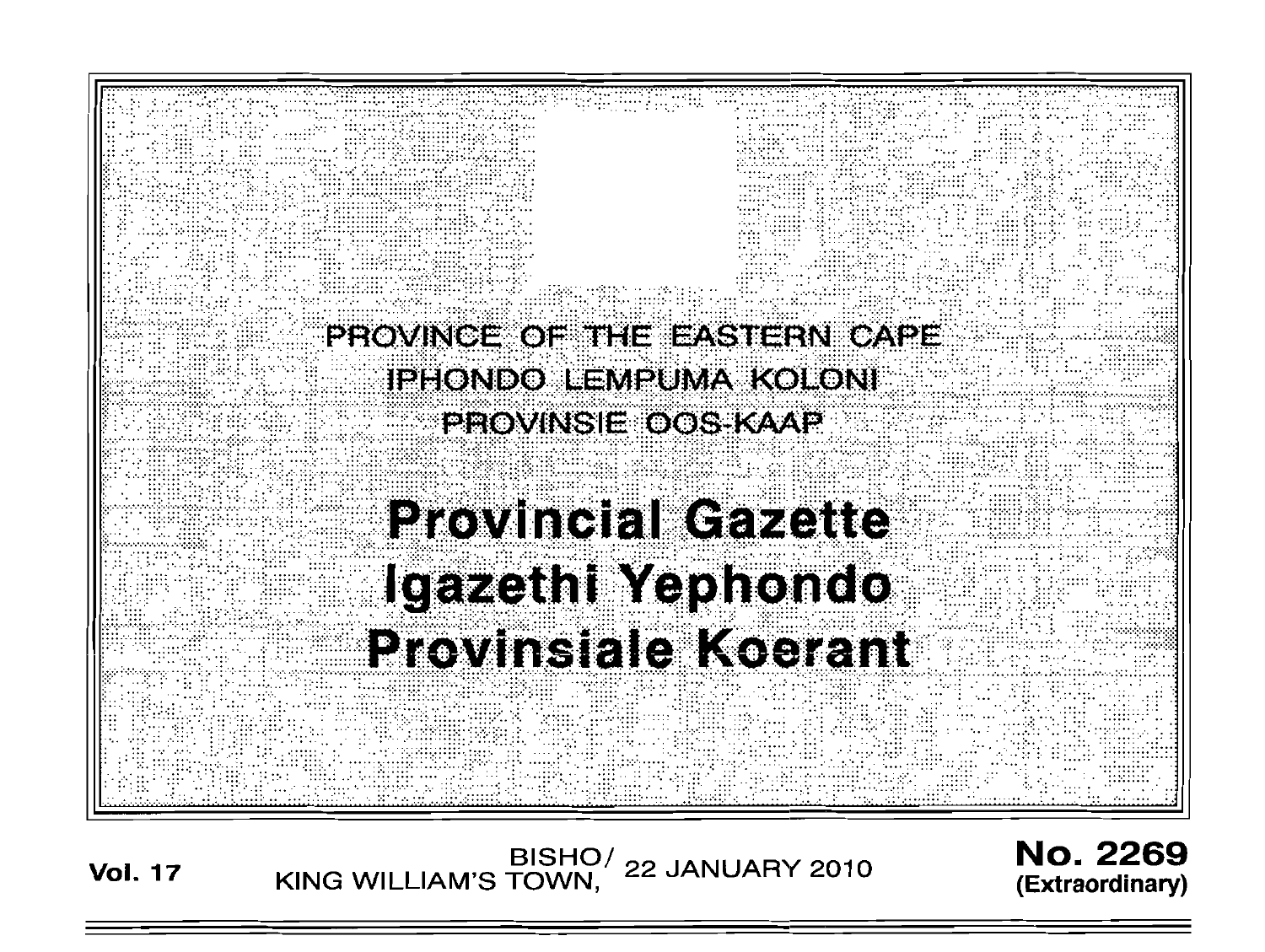

BISHO/ 22 JANUARY 2010<br>KING WILLIAM'S TOWN, 22 JANUARY 2010 **Vol. 17** 

**No. 2269** (Extraordinary)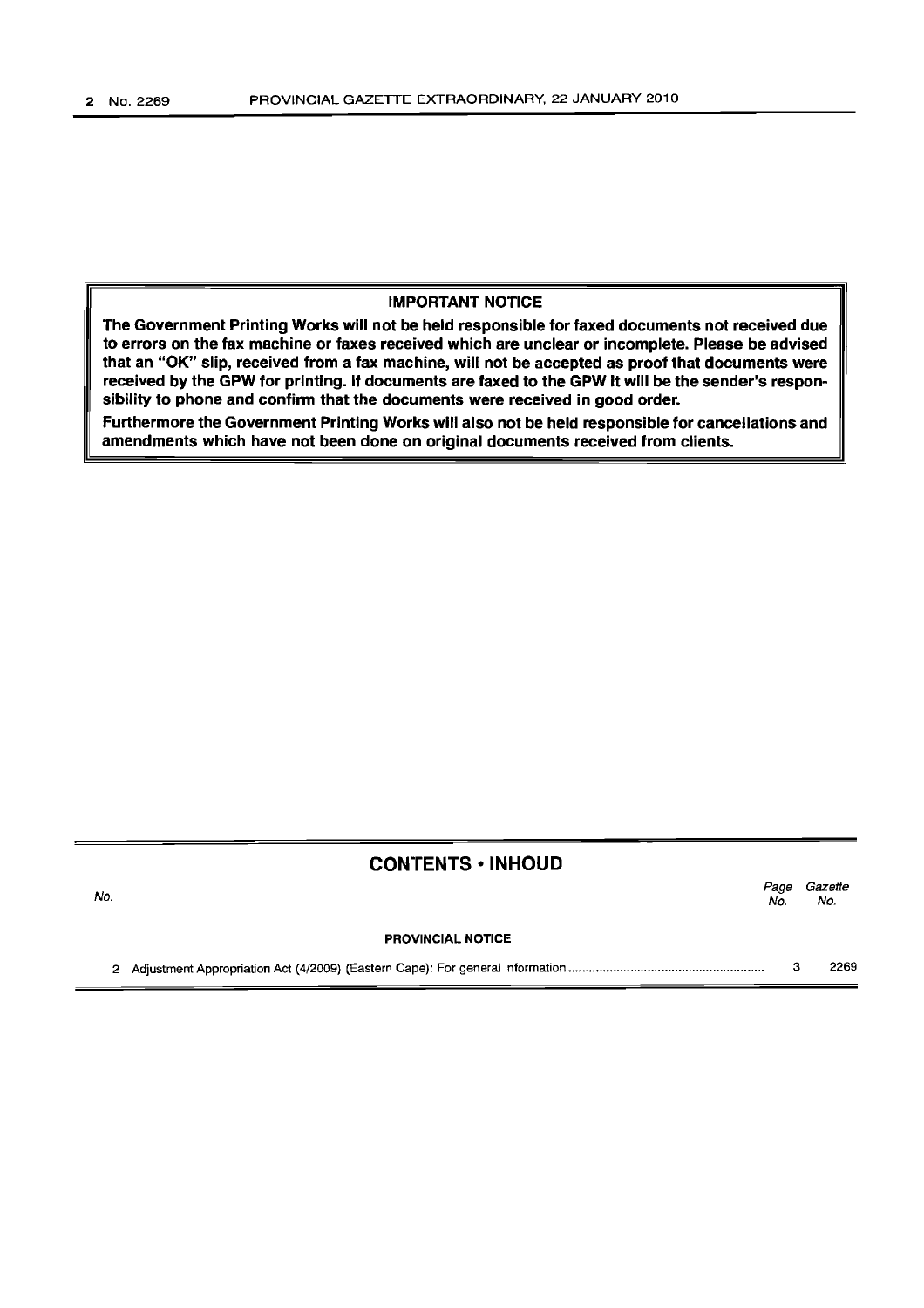#### IMPORTANT NOTICE

The Government Printing Works will not be held responsible for faxed documents not received due to errors on the fax machine or faxes received which are unclear or incomplete. Please be advised that an "OK" slip, received from a fax machine, will not be accepted as proof that documents were received by the GPW for printing. If documents are faxed to the GPW it will be the sender's responsibility to phone and confirm that the documents were received in good order.

Furthermore the Government Printing Works will also not be held responsible for cancellations and amendments which have not been done on original documents received from clients.

## CONTENTS ·INHOUD

| No. |                          | Page<br>No. | Gazette<br>No. |
|-----|--------------------------|-------------|----------------|
|     | <b>PROVINCIAL NOTICE</b> |             |                |
|     |                          |             | 2269           |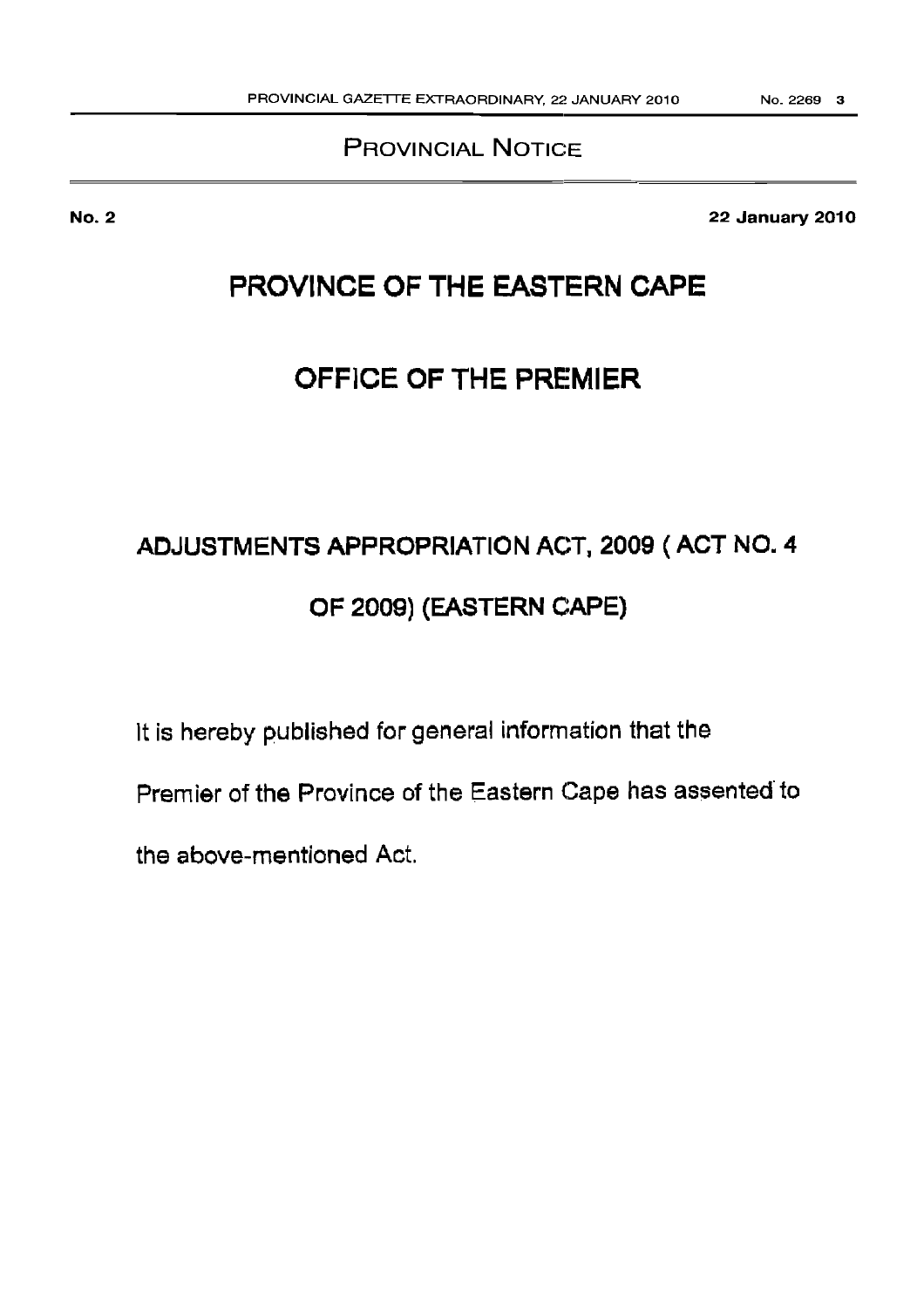## PROVINCIAL NOTICE

22 January 2010

## PROVINCE OF THE EASTERN CAPE

## OFFICE OF THE PREMIER

# ADJUSTMENTS APPROPRIATION ACT, 2009 ( ACT NO. 4 OF 2009) (EASTERN CAPE)

It is hereby published for general information that the

Premier of the Province of the Eastern Cape has assented to

the above-mentioned Act.

No.2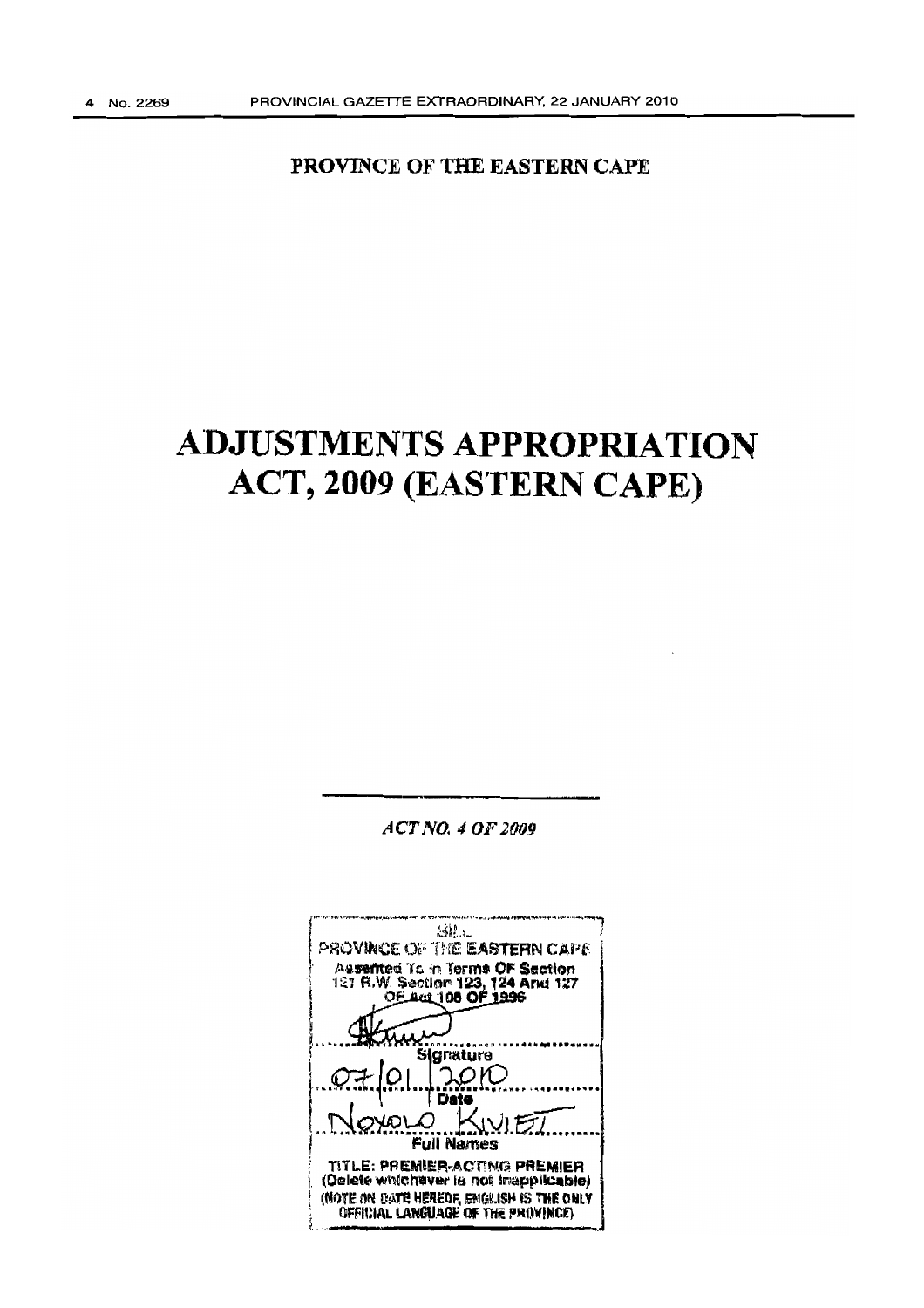PROVINCE OF THE EASTERN CAPE

## **ADJUSTMENTS APPROPRIATION** ACT, 2009 (EASTERN CAPE)

 $ACTNO. 4 OF 2009$ 

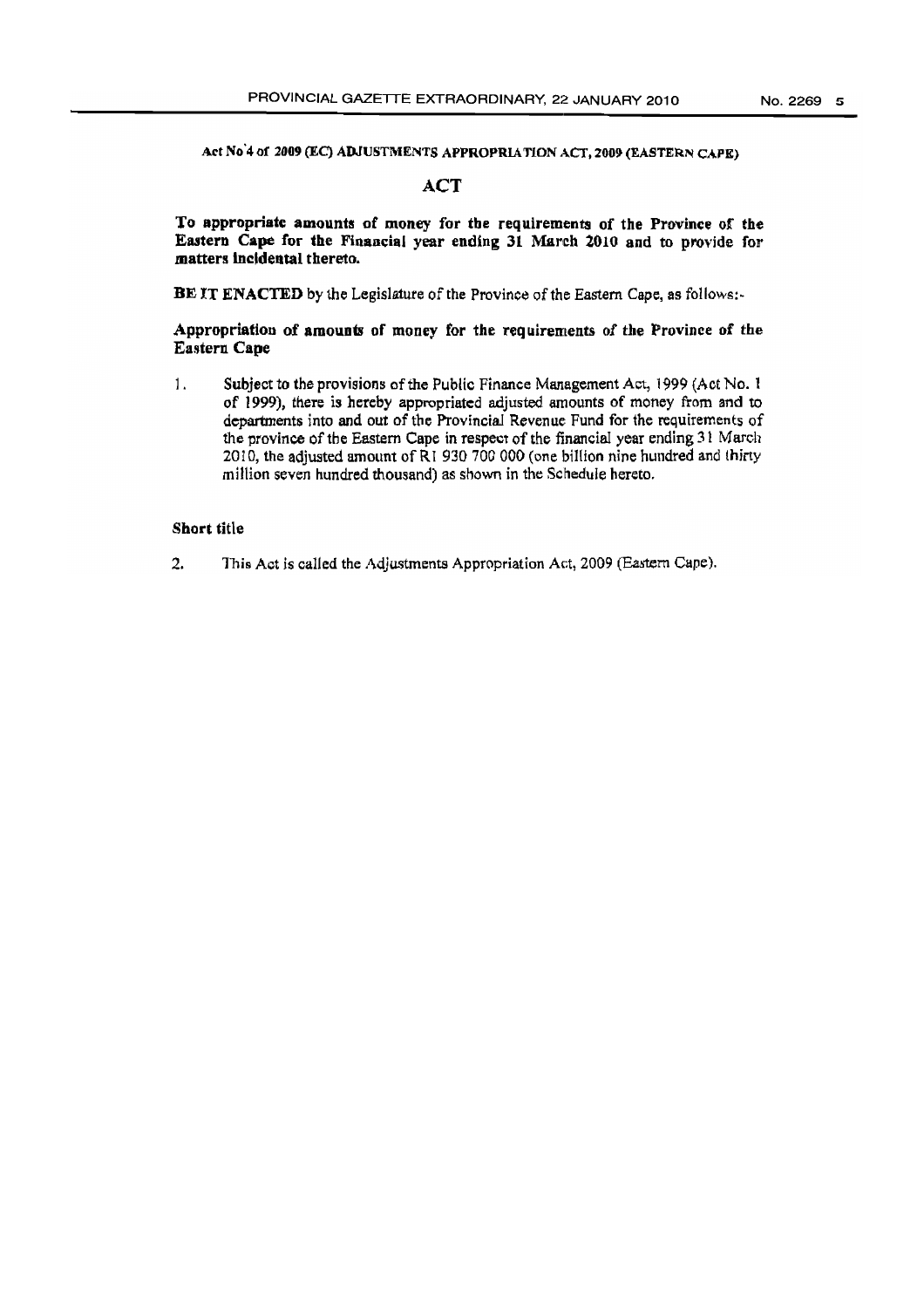Ad No '4 of 2009 (EC) ADJUSTMENTS APPROPRlATION ACT, 2009 (EASTERN CAPE)

## **ACT**

To appropriate amounts of money for the requirements of the Province of the Eastern Cape for the Financial year ending 31 March 2010 and to provide for matters incidental thereto.

BE IT ENACTED by the Legislature of the Province of the Eastern Cape, as follows:-

#### Appropriation of amounts of money for the requirements of the Province of the Eastern Cape

1. Subject to the provisions of the Public Finance Management Act, 1999 (Act No. 1) of 1999), there is hereby appropriated adjusted amounts of money from and to departments into and out of the Provincial Revenue Fund for the requirements of the province of the Eastern Cape in respect of the financial year ending 31 March 2010, the adjusted amount of  $\overline{R}$  1 930 700 000 (one billion nine hundred and thirty million seven hundred thousand) as shown in the Schedule hereto.

#### Short title

2. This Act is called the Adjustments Appropriation Act, 2009 (Eastern Cape).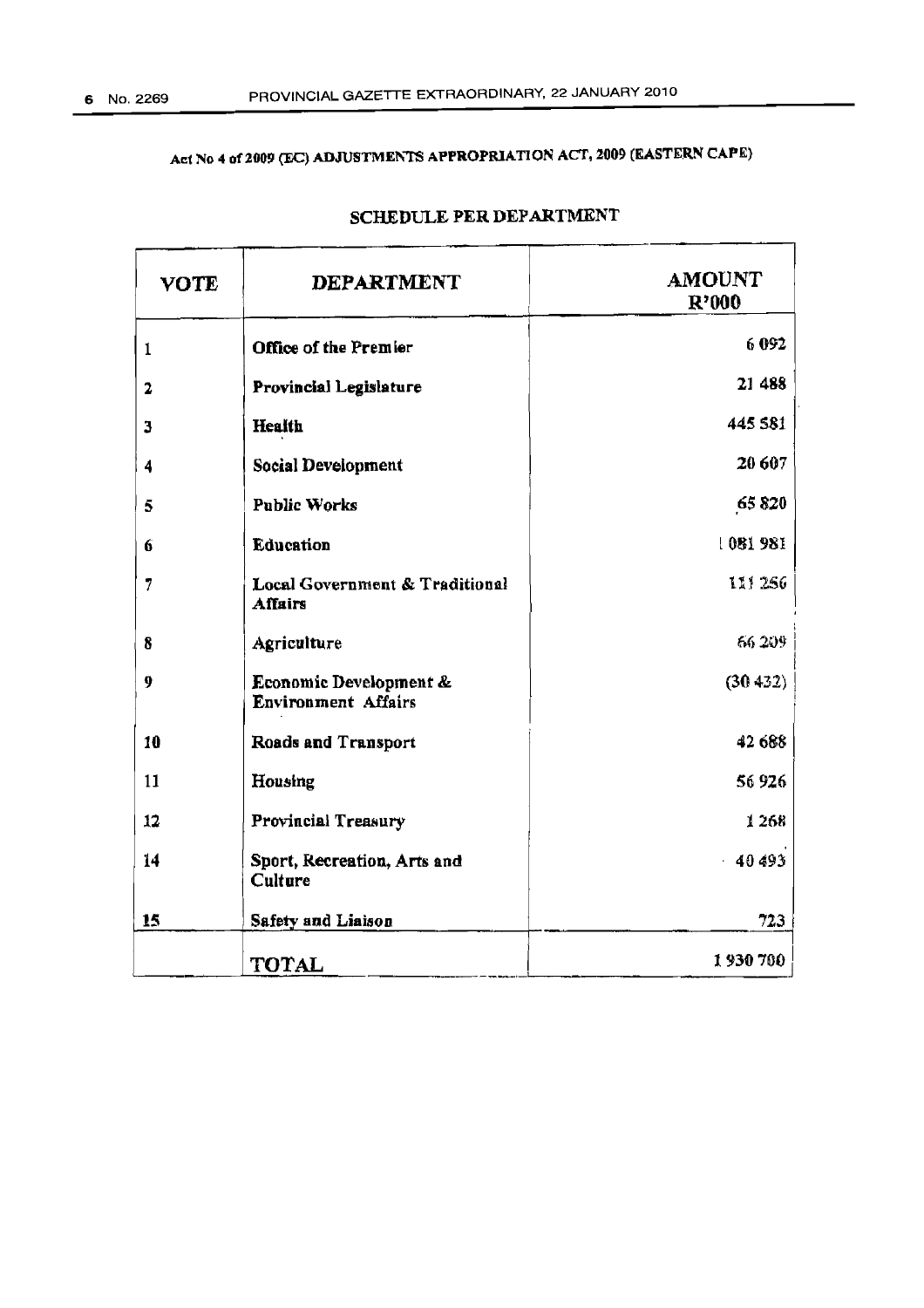## Act No 4 of 2009 (EC) ADJUSTMENTS APPROPRIATION ACT, 2009 (EASTERN CAPE)

| <b>VOTE</b> | <b>DEPARTMENT</b>                                    | <b>AMOUNT</b><br>R'000 |
|-------------|------------------------------------------------------|------------------------|
| 1           | Office of the Premier                                | 6092                   |
| 2           | Provincial Legislature                               | 21 488                 |
| 3           | Health                                               | 445 581                |
| 4           | Social Development                                   | 20 607                 |
| 5           | <b>Public Works</b>                                  | 65820                  |
| 6           | Education                                            | 1081981                |
| 7           | Local Government & Traditional<br>Affairs            | 111 256                |
| 8           | Agriculture                                          | 66.209                 |
| 9           | Economic Development &<br><b>Environment Affairs</b> | (30, 432)              |
| 10          | Roads and Transport                                  | 42 688                 |
| 11          | Housing                                              | 56926                  |
| 12          | Provincial Treasury                                  | 1268                   |
| 14          | Sport, Recreation, Arts and<br>Culture               | $-40493$               |
| 15          | Safety and Liaison                                   | 723                    |
|             | TOTAL                                                | 1930700                |

## SCHEDULE PER DEPARTMENT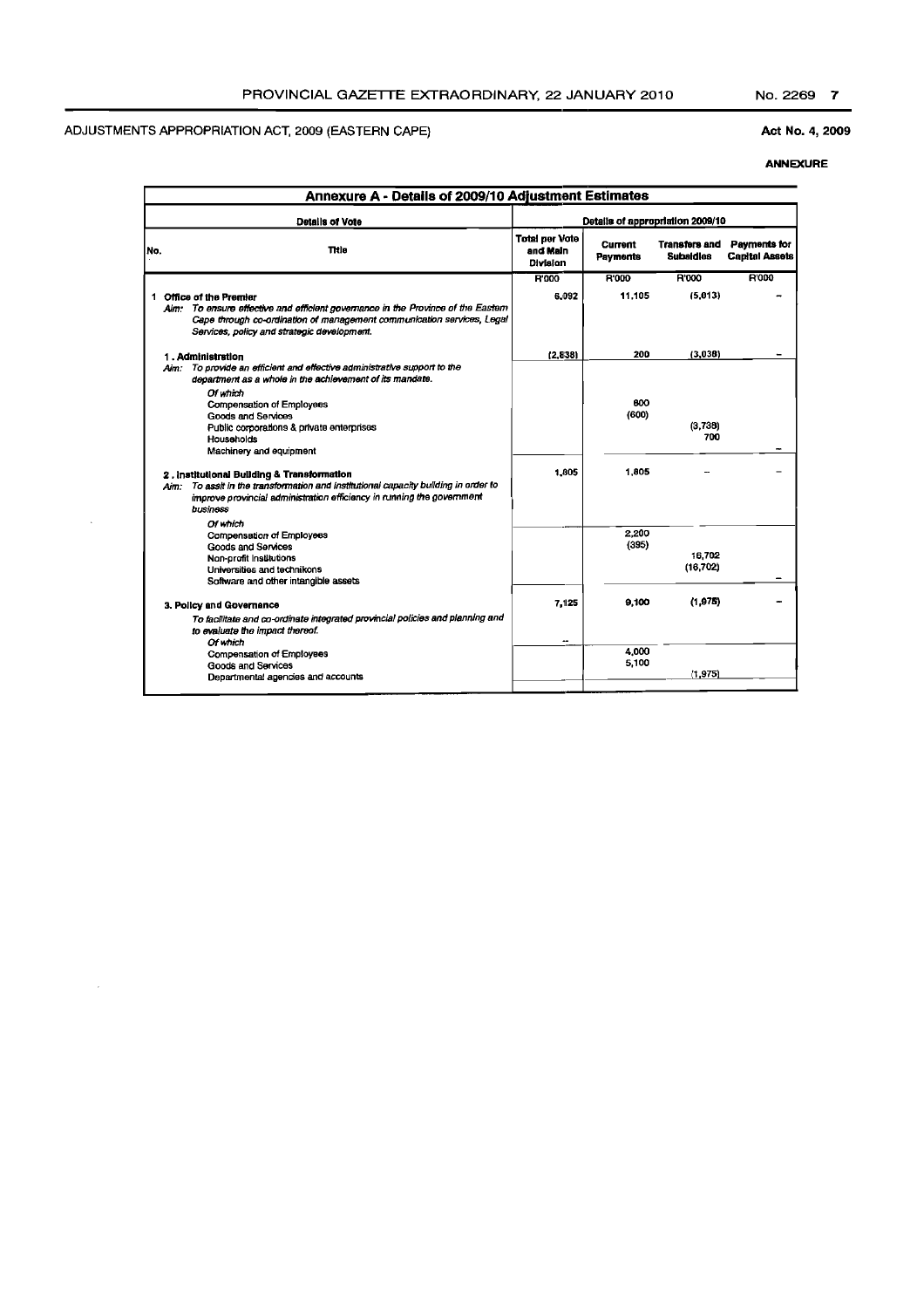$\mathcal{A}^{\mathcal{A}}$ 

 $\mathcal{A}$ 

## Act No. 4, 2009

|     | Annexure A - Details of 2009/10 Adjustment Estimates                                                                                                                                                                                 |                                               |                            |                                   |                                       |
|-----|--------------------------------------------------------------------------------------------------------------------------------------------------------------------------------------------------------------------------------------|-----------------------------------------------|----------------------------|-----------------------------------|---------------------------------------|
|     | <b>Details of Vote</b>                                                                                                                                                                                                               |                                               |                            | Details of appropriation 2009/10  |                                       |
| No. | Title                                                                                                                                                                                                                                | <b>Total per Vote</b><br>and Main<br>Division | <b>Current</b><br>Payments | Transfers and<br><b>Subaldies</b> | Payments for<br><b>Capital Assets</b> |
|     |                                                                                                                                                                                                                                      | <b>R'000</b>                                  | <b>R'000</b>               | R'000                             | <b>R'000</b>                          |
|     | 1 Office of the Premier<br>Aim: To ensure effective and efficient governance in the Province of the Eastern<br>Cape through co-ordination of management communication services, Legal<br>Services, policy and strategic development. | 6.092                                         | 11.105                     | (5.013)                           |                                       |
|     | 1. Administration                                                                                                                                                                                                                    | (2.838)                                       | 200                        | (3,038)                           |                                       |
|     | To provide an efficient and effective administrative support to the<br>Aim:<br>department as a whole in the achievement of its mandate.<br>Of which                                                                                  |                                               |                            |                                   |                                       |
|     | <b>Compensation of Employees</b>                                                                                                                                                                                                     |                                               | 800                        |                                   |                                       |
|     | Goods and Services                                                                                                                                                                                                                   |                                               | (600)                      |                                   |                                       |
|     | Public corporations & private enterprises                                                                                                                                                                                            |                                               |                            | (3,738)<br>700                    |                                       |
|     | Households<br>Machinery and equipment                                                                                                                                                                                                |                                               |                            |                                   |                                       |
|     | 2. Institutional Building & Transformation<br>To assit in the transformation and institutional capacity building in order to<br>Aim:<br>improve provincial administration efficiency in running the government<br>business           | 1.005                                         | 1.805                      |                                   |                                       |
|     | Of which                                                                                                                                                                                                                             |                                               |                            |                                   |                                       |
|     | Compensation of Employees                                                                                                                                                                                                            |                                               | 2.200<br>(395)             |                                   |                                       |
|     | Goods and Services<br>Non-profit Institutions                                                                                                                                                                                        |                                               |                            | 16,702                            |                                       |
|     | Universities and technikons                                                                                                                                                                                                          |                                               |                            | (16, 702)                         |                                       |
|     | Software and other intangible assets                                                                                                                                                                                                 |                                               |                            |                                   |                                       |
|     | 3. Policy and Governance<br>To facilitate and co-ordinate integrated provincial policies and planning and                                                                                                                            | 7,125                                         | 9.100                      | (1,975)                           |                                       |
|     | to evaluate the impact thereof.                                                                                                                                                                                                      |                                               |                            |                                   |                                       |
|     | Of which                                                                                                                                                                                                                             | --                                            | 4.000                      |                                   |                                       |
|     | Compensation of Employees<br>Goods and Services                                                                                                                                                                                      |                                               | 5,100                      |                                   |                                       |
|     | Departmental agencies and accounts                                                                                                                                                                                                   |                                               |                            | (1.975)                           |                                       |
|     |                                                                                                                                                                                                                                      |                                               |                            |                                   |                                       |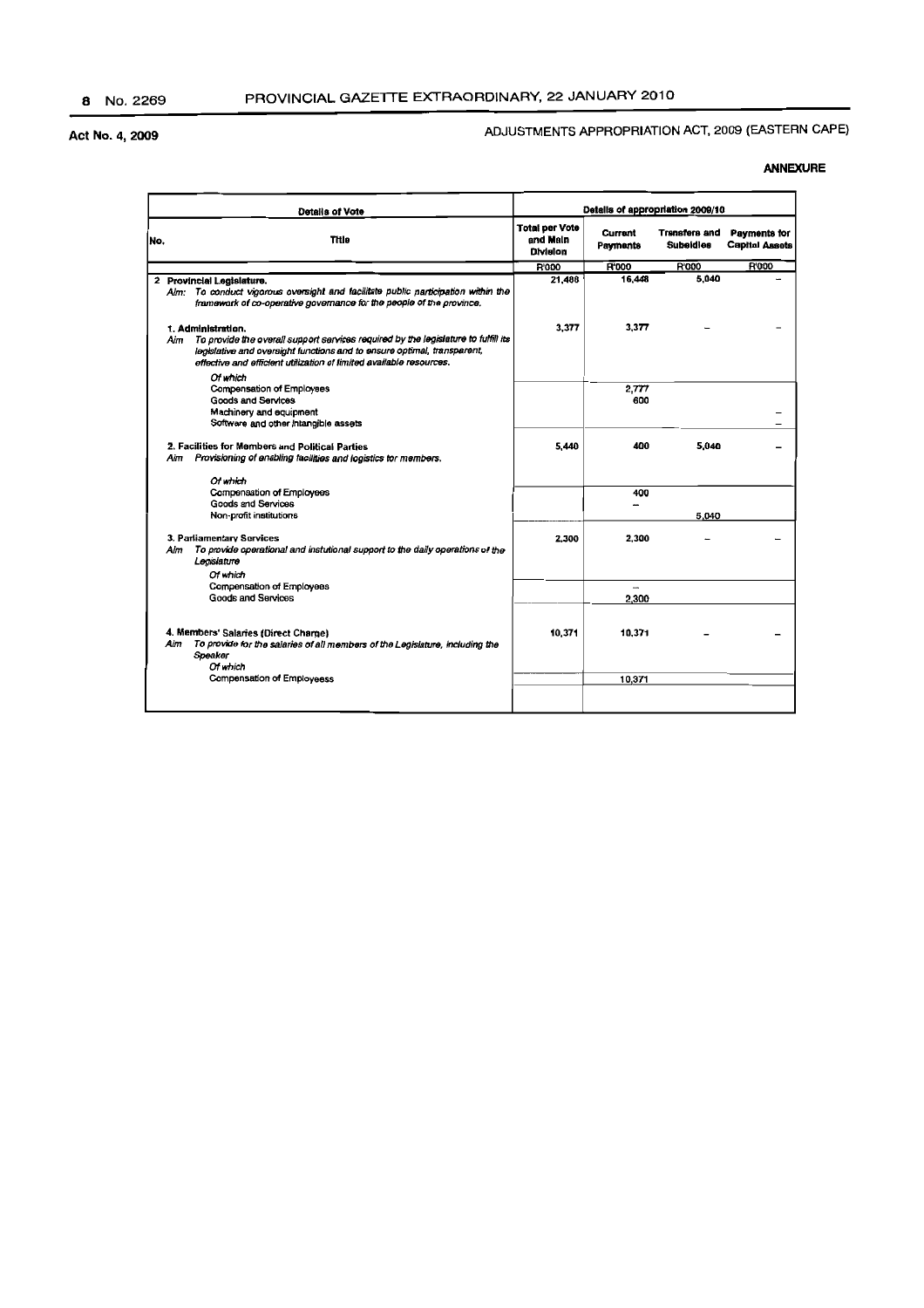## ADJUSTMENTS APPROPRIATION ACT, 2009 (EASTERN CAPE)

|     | <b>Details of Vote</b>                                                                                                                                                                                                                                            | Details of appropriation 2009/10                     |                     |                                          |                                       |
|-----|-------------------------------------------------------------------------------------------------------------------------------------------------------------------------------------------------------------------------------------------------------------------|------------------------------------------------------|---------------------|------------------------------------------|---------------------------------------|
| No. | <b>Title</b>                                                                                                                                                                                                                                                      | <b>Total per Vote</b><br>and Main<br><b>Division</b> | Currant<br>Payments | <b>Transfers and</b><br><b>Subeidies</b> | Payments for<br><b>Capital Assets</b> |
|     |                                                                                                                                                                                                                                                                   | <b>R'000</b>                                         | R'000               | <b>R'000</b>                             | R'000                                 |
|     | 2 Provincial Legislature.<br>Alm: To conduct vigorous oversight and facilitate public participation within the<br>framework of co-operative governance for the people of the province,                                                                            | 21.488                                               | 16,448              | 5,040                                    |                                       |
|     | 1. Administration.<br>Aim<br>To provide the overall support services required by the legislature to fulfill its<br>legislative and oversight functions and to ensure optimal, transparent,<br>effective and efficient utilization of limited available resources. | 3,377                                                | 3.377               |                                          |                                       |
|     | Of which<br>Compensation of Employees<br><b>Goods and Services</b><br>Machinery and equipment<br>Software and other intangible assets                                                                                                                             |                                                      | 2.777<br>600        |                                          |                                       |
|     | 2. Facilities for Members and Political Parties<br>Provisioning of enabling facilities and logistics tor members.<br>Aim                                                                                                                                          | 5,440                                                | 400                 | 5,040                                    |                                       |
|     | Of which<br>Compensation of Employees<br>Goods and Services<br>Non-profit institutions                                                                                                                                                                            |                                                      | 400                 | 5,040                                    |                                       |
|     | 3. Parliamentary Sorvices<br>Alm<br>To provide operational and instutional support to the daily operations of the<br>Legislature<br>Of which                                                                                                                      | 2,300                                                | 2.300               |                                          |                                       |
|     | Compensation of Employees<br><b>Goods and Services</b>                                                                                                                                                                                                            |                                                      | $\sim$<br>2,300     |                                          |                                       |
|     | 4. Members' Salaries (Direct Charge)<br>Aim<br>To provide for the salaries of all members of the Legislature, including the<br>Speaker<br>Of which                                                                                                                | 10,371                                               | 10.371              |                                          |                                       |
|     | <b>Compensation of Employeess</b>                                                                                                                                                                                                                                 |                                                      | 10.371              |                                          |                                       |
|     |                                                                                                                                                                                                                                                                   |                                                      |                     |                                          |                                       |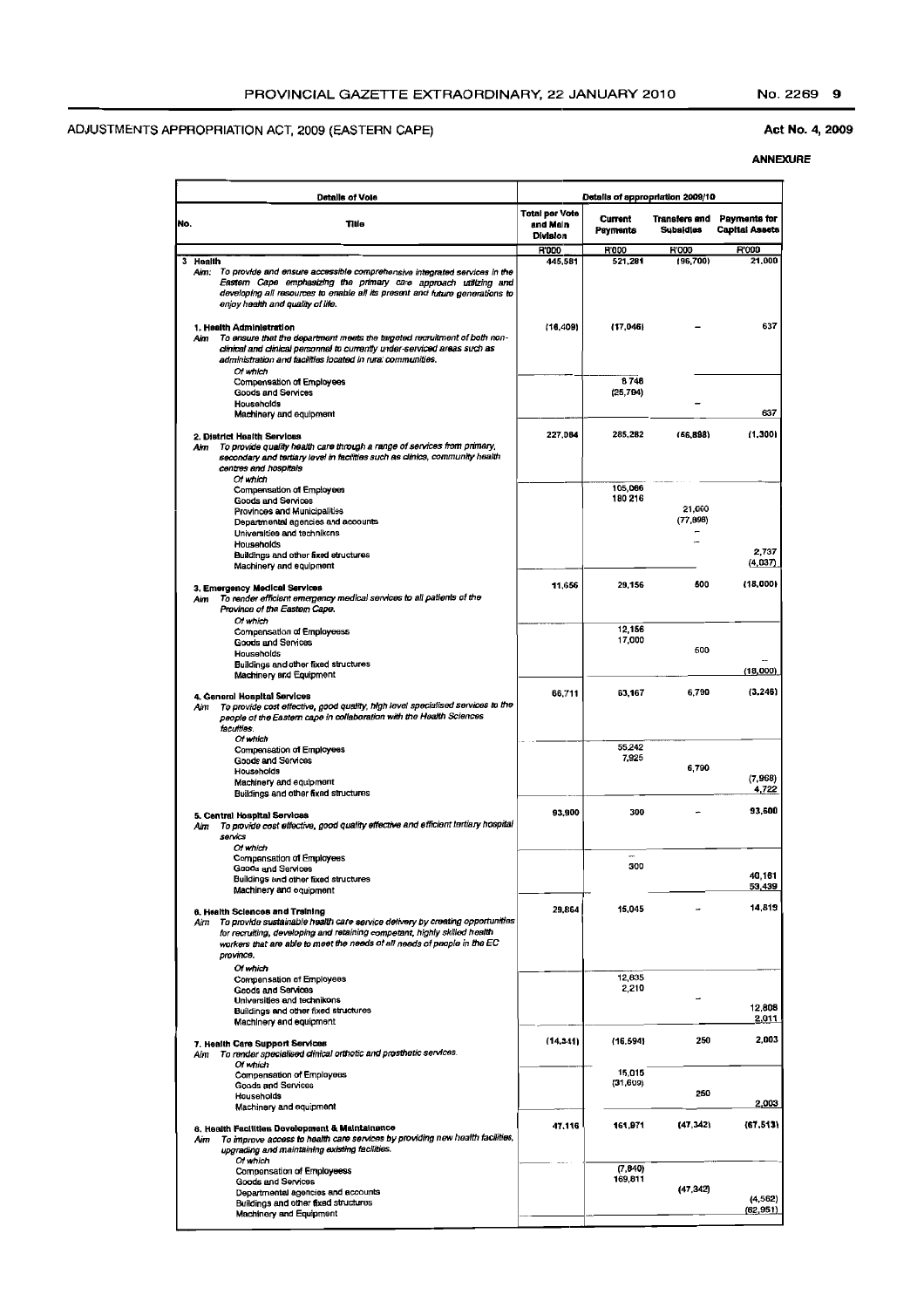#### Act No. 4, 2009

|     | <b>Details of Vole</b>                                                                                                                                                                                                                                                                        |                                                      | Details of appropriation 2009/10 |                                          |                                       |
|-----|-----------------------------------------------------------------------------------------------------------------------------------------------------------------------------------------------------------------------------------------------------------------------------------------------|------------------------------------------------------|----------------------------------|------------------------------------------|---------------------------------------|
| No. | Title                                                                                                                                                                                                                                                                                         | <b>Total per Vote</b><br>and Main<br><b>Division</b> | Current<br>Payments              | <b>Transfers and</b><br><b>Subsidies</b> | Payments for<br><b>Capital Assets</b> |
|     | 3 Health                                                                                                                                                                                                                                                                                      | <b>R'000</b><br>445,581                              | <b>R'000</b><br>521,281          | <b>R'000</b><br>(96, 700)                | <b>R'000</b><br>21,000                |
|     | To provide and ensure accessible comprehensive integrated services in the<br>Aim:<br>Eastern Cape emphasizing the primary care approach utilizing and<br>developing all resources to enable all its present and future generations to<br>enjoy health and quality of life.                    |                                                      |                                  |                                          |                                       |
|     | 1. Health Administration<br>To ensure that the department meets the targeted recruitment of both non-<br>Aim<br>clinical and clinical personnel to currently under-serviced areas such as<br>administration and facilities located in rural communities.<br>Of which                          | (16, 409)                                            | (17,046)                         |                                          | 637                                   |
|     | Compensation of Employees<br>Goods and Services                                                                                                                                                                                                                                               |                                                      | 8748<br>(25, 794)                |                                          |                                       |
|     | Households<br>Machinery and equipment                                                                                                                                                                                                                                                         |                                                      |                                  |                                          | 637                                   |
|     | 2. District Health Services<br>To provide quality health care through a range of services from primary,<br>Aim<br>secondary and tertiary level in facilities such as clinics, community health<br>centres and hospitals<br>Of which                                                           | 227,084                                              | 285,282                          | (56, 898)                                | (1,300)                               |
|     | Compensation of Employees                                                                                                                                                                                                                                                                     |                                                      | 105,066                          |                                          |                                       |
|     | Goods and Services<br>Provinces and Municipalities<br>Departmental agencies and accounts<br>Universities and technikons                                                                                                                                                                       |                                                      | 180 216                          | 21,000<br>(77, 896)                      |                                       |
|     | Households<br>Buildings and other fixed etructures                                                                                                                                                                                                                                            |                                                      |                                  |                                          | 2,737<br>(4,037)                      |
|     | Machinery and equipment<br>3. Emergency Medical Services<br>To render efficient emergency medical services to all patients of the<br>Aim<br>Province of the Eastern Cape.                                                                                                                     | 11.656                                               | 29,156                           | 500                                      | (18,000)                              |
|     | Of which                                                                                                                                                                                                                                                                                      |                                                      | 12,156                           |                                          |                                       |
|     | Compensation of Employeess<br><b>Goods and Services</b><br>Households                                                                                                                                                                                                                         |                                                      | 17,000                           | 500                                      |                                       |
|     | Buildings and other fixed structures<br>Machinery and Equipment                                                                                                                                                                                                                               |                                                      |                                  |                                          | (18,000)                              |
|     |                                                                                                                                                                                                                                                                                               |                                                      |                                  | 6,790                                    | (3.246)                               |
|     | 4. General Hospital Services<br>To provide cost effective, good quality, high level specialised services to the<br>Aim<br>people of the Eastern cape in collaboration with the Health Sciences<br>faculties.<br>Of which                                                                      | 66,711                                               | 63,167                           |                                          |                                       |
|     | Compensation of Employees<br><b>Goods and Services</b><br>Households<br>Machinery and equipment                                                                                                                                                                                               |                                                      | 55,242<br>7,925                  | 6,790                                    | (7, 968)                              |
|     | Buildings and other fixed structures                                                                                                                                                                                                                                                          | 93,900                                               | 300                              |                                          | 4,722<br>93,600                       |
|     | 5. Central Hospital Services<br>To provide cost effective, good quality effective and efficient tertiary hospital<br>Aύπ<br>servics<br>Of which                                                                                                                                               |                                                      |                                  |                                          |                                       |
|     | <b>Compensation of Employees</b><br>Goods and Services                                                                                                                                                                                                                                        |                                                      | 300                              |                                          |                                       |
|     | Buildings and other fixed structures<br>Machinery and equipment                                                                                                                                                                                                                               |                                                      |                                  |                                          | 40,161<br>53,439                      |
|     | 6. Health Sciences and Treining<br>To provide sustainable health care service delivery by creating opportunities<br>Aim<br>for recruiting, developing and retaining competant, highly skilled health<br>workers that are able to meet the needs of all needs of people in the EC<br>province, | 29,864                                               | 15,045                           |                                          | 14,819                                |
|     | Of which<br>Compensation of Employees                                                                                                                                                                                                                                                         |                                                      | 12,835                           |                                          |                                       |
|     | Goods and Services<br>Universities and technikons                                                                                                                                                                                                                                             |                                                      | 2,210                            |                                          |                                       |
|     | Buildings and other fixed structures<br>Machinery and equipment                                                                                                                                                                                                                               |                                                      |                                  |                                          | 12.808<br>2,011                       |
|     | 7. Health Care Support Services<br>Aim To render specialised dinical orthotic and prosthetic services.<br>Of which                                                                                                                                                                            | (14, 341)                                            | (16, 594)                        | 250                                      | 2,003                                 |
|     | <b>Compensation of Employees</b><br><b>Goods and Services</b><br>Hauseholds                                                                                                                                                                                                                   |                                                      | 15,015<br>(31, 609)              | 250                                      | 2,003                                 |
|     | Machinery and equipment                                                                                                                                                                                                                                                                       |                                                      |                                  | (47, 342)                                | (67, 513)                             |
|     | 8. Health Facilities Development & Maintainance<br>To improve access to health care services by providing new health facilities,<br>Aim<br>upgrading and maintaining existing facilities.<br>Of which                                                                                         | 47,116                                               | 161,971                          |                                          |                                       |
|     | <b>Compensation of Employeess</b><br><b>Goods and Services</b><br>Departmental agencies and accounts                                                                                                                                                                                          |                                                      | (7, 840)<br>169,811              | (47, 342)                                | (4, 562)                              |
|     | Buildings and other fixed structures<br>Machinery and Equipment                                                                                                                                                                                                                               |                                                      |                                  |                                          | (62, 951)                             |
|     |                                                                                                                                                                                                                                                                                               |                                                      |                                  |                                          |                                       |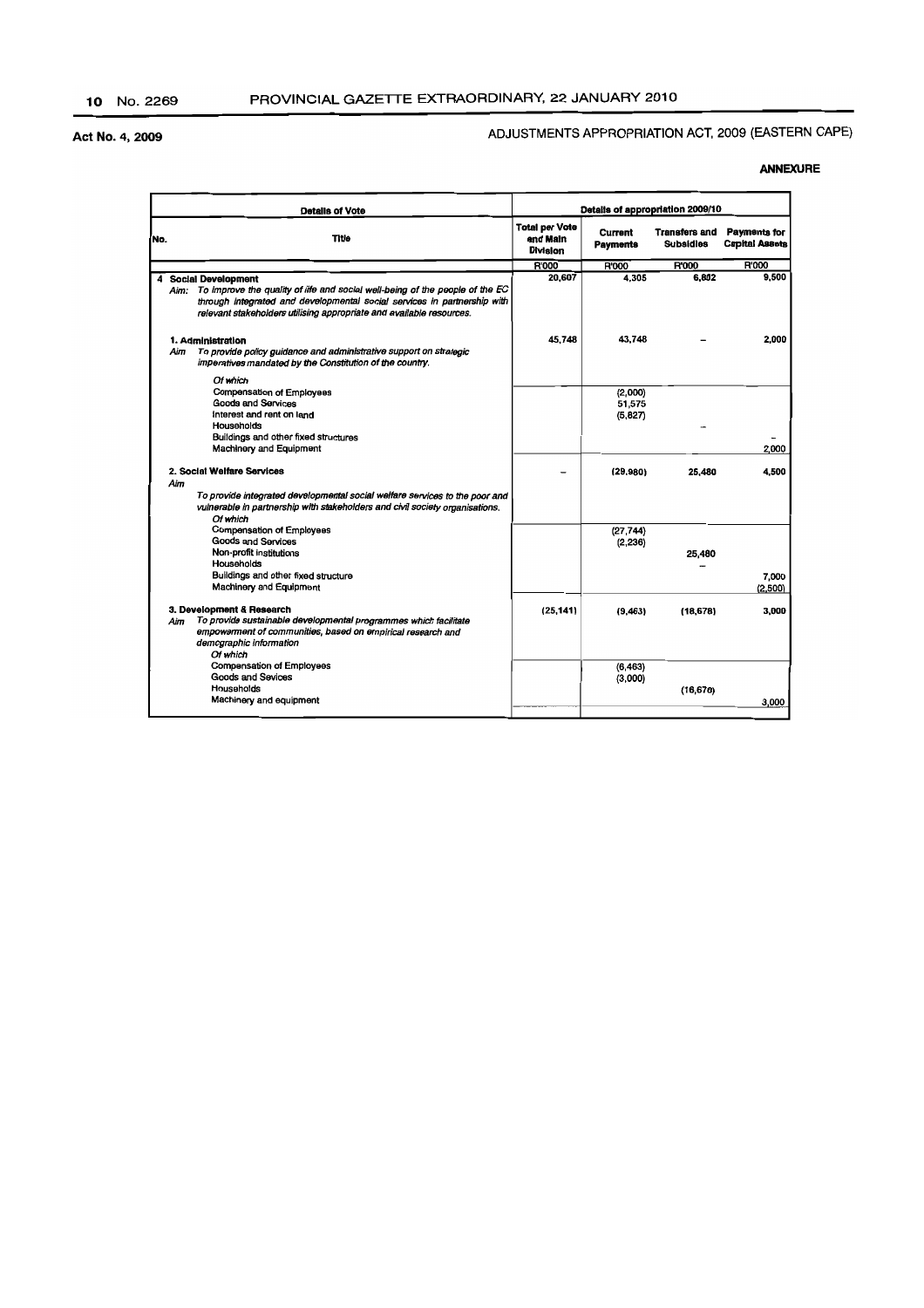## ADJUSTMENTS APPROPRIATION ACT, 2009 (EASTERN CAPE)

|     | <b>Details of Vote</b>                                                                                                                                                                                                                                                | Details of appropriation 2009/10                     |                                   |                                          |                                              |
|-----|-----------------------------------------------------------------------------------------------------------------------------------------------------------------------------------------------------------------------------------------------------------------------|------------------------------------------------------|-----------------------------------|------------------------------------------|----------------------------------------------|
| No. | <b>Title</b>                                                                                                                                                                                                                                                          | <b>Total per Vote</b><br>and Main<br><b>Division</b> | <b>Current</b><br><b>Payments</b> | <b>Transfers and</b><br><b>Subsidies</b> | <b>Payments for</b><br><b>Capital Assets</b> |
|     |                                                                                                                                                                                                                                                                       | R'000                                                | R'000                             | <b>R'000</b>                             | R'000                                        |
| 4   | <b>Social Development</b><br>To improve the quality of life and social well-being of the people of the EC<br>Aim:<br>through integrated and developmental social services in partnership with<br>relevant stakeholders utilising appropriate and available resources. | 20,607                                               | 4.305                             | 6.802                                    | 9.500                                        |
|     | 1. Administration<br>To provide policy guidance and administrative support on strategic<br>Aim<br>imperatives mandated by the Constitution of the country.                                                                                                            | 45,748                                               | 43,748                            |                                          | 2,000                                        |
|     | Of which<br><b>Compensation of Employees</b><br>Goods and Services<br>interest and rent on land<br>Households                                                                                                                                                         |                                                      | (2,000)<br>51,575<br>(5, 827)     |                                          |                                              |
|     | Buildings and other fixed structures<br>Machinery and Equipment                                                                                                                                                                                                       |                                                      |                                   |                                          | 2,000                                        |
|     | 2. Social Welfare Services<br>Aim<br>To provide integrated developmental social welfare services to the poor and<br>vulnerable in partnership with stakeholders and civil society organisations.<br>Of which                                                          |                                                      | (29, 980)                         | 25.480                                   | 4.500                                        |
|     | Compensation of Employees<br><b>Goods and Services</b><br>Non-profit institutions<br>Households<br>Buildings and other fixed structure                                                                                                                                |                                                      | (27, 744)<br>(2, 236)             | 25,480                                   | 7.000                                        |
|     | Machinery and Equipment                                                                                                                                                                                                                                               |                                                      |                                   |                                          | (2.500)                                      |
|     | 3. Development & Research<br>To provide sustainable developmental programmes which facilitate<br>Aim<br>empowerment of communities, based on empirical research and<br>demographic information<br>Of which                                                            | (25.141)                                             | (9,463)                           | (18, 678)                                | 3,000                                        |
|     | Compensation of Employees<br>Goods and Sevices<br>Households<br>Machinery and equipment                                                                                                                                                                               |                                                      | (6, 463)<br>(3,000)               | (16, 678)                                | 3,000                                        |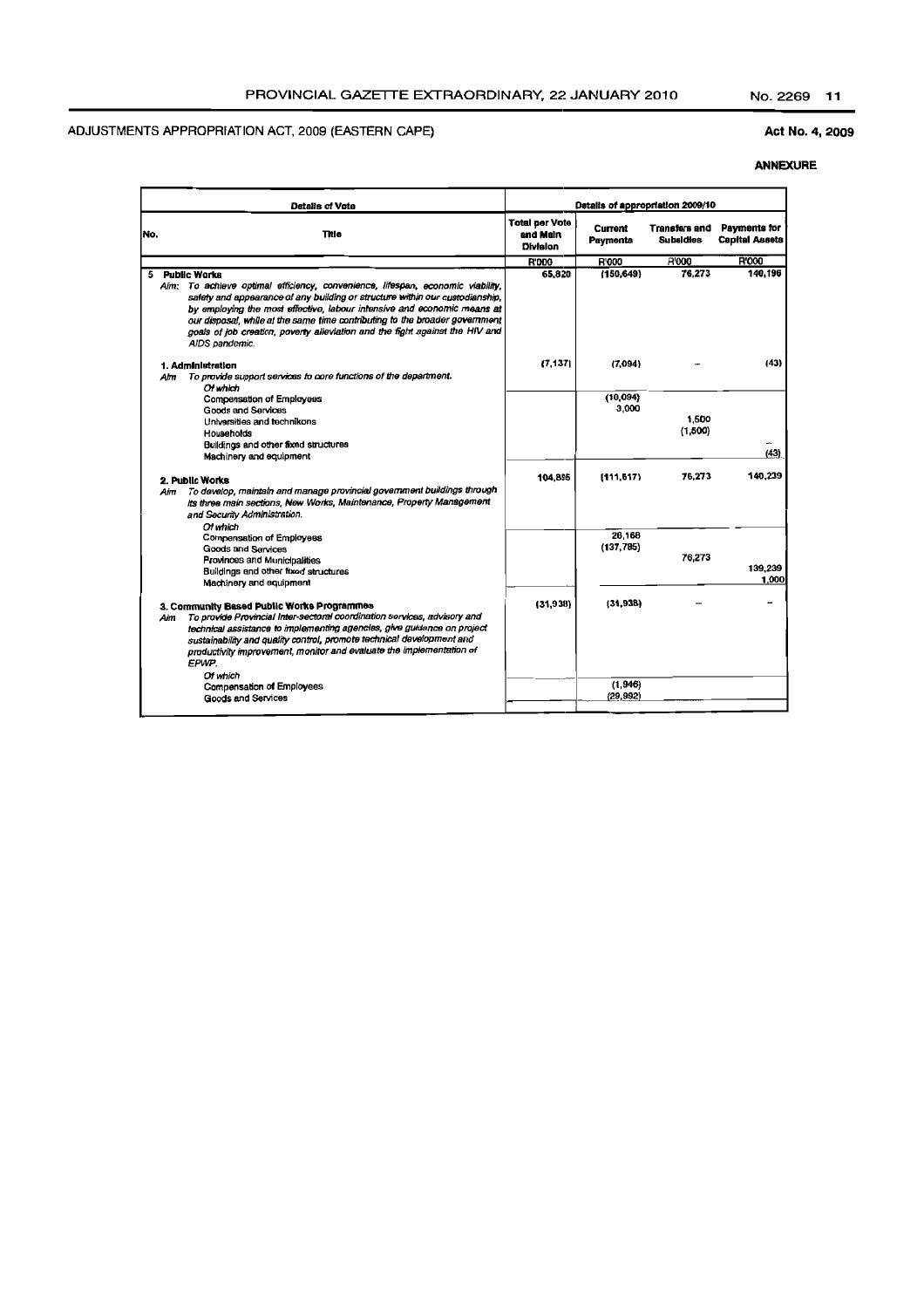## Act No.4, 2009

|     | <b>Detalls of Vota</b>                                                                                                                                                                                                                                                                                                                                                                                                                     | Details of appropriation 2009/10              |                      |                                   |                                       |
|-----|--------------------------------------------------------------------------------------------------------------------------------------------------------------------------------------------------------------------------------------------------------------------------------------------------------------------------------------------------------------------------------------------------------------------------------------------|-----------------------------------------------|----------------------|-----------------------------------|---------------------------------------|
| No. | Title                                                                                                                                                                                                                                                                                                                                                                                                                                      | <b>Total per Vote</b><br>and Main<br>Division | Current<br>Payments  | <b>Transfers and</b><br>Subsidies | Payments for<br><b>Capital Assets</b> |
|     |                                                                                                                                                                                                                                                                                                                                                                                                                                            | <b>R'000</b>                                  | R'000                | R'000                             | R'000                                 |
| 5   | Public Works<br>Aim: To achieve optimal efficiency, convenience, lifespan, economic viability,<br>safety and appearance of any building or structure within our custodianship,<br>by employing the most effective, labour intensive and economic means at<br>our disposal, while at the same time contributing to the broader government<br>goals of job creation, poverty alleviation and the fight against the HIV and<br>AIDS pandemic. | 65,820                                        | (150, 649)           | 76.273                            | 140.196                               |
| Aim | 1. Administration<br>To provide support services to core functions of the department.                                                                                                                                                                                                                                                                                                                                                      | (7.137)                                       | (7.094)              |                                   | (43)                                  |
|     | Of which<br><b>Compensation of Employees</b><br><b>Goods and Services</b><br>Universities and technikons<br>Households<br>Buildings and other fixed structures<br>Machinery and equipment                                                                                                                                                                                                                                                  |                                               | (10,094)<br>3,000    | 1,500<br>(1,500)                  | (43)                                  |
| Aim | 2. Public Works<br>To develop, maintain and manage provincial government buildings through<br>its three main sections, New Works, Maintenance, Property Management<br>and Security Administration.                                                                                                                                                                                                                                         | 104.895                                       | (111.517)            | 76.273                            | 140,239                               |
|     | Of which<br><b>Compensation of Employees</b><br>Goods and Services<br>Provinces and Municipalities<br>Buildings and other fixed structures<br>Machinery and equipment                                                                                                                                                                                                                                                                      |                                               | 26,168<br>(137, 785) | 76,273                            | 139,239<br>1.000                      |
| Aim | 3. Community Based Public Works Programmes<br>To provide Provincial Inter-sectoral coordination services, advisory and<br>technical assistance to implementing agencies, give guidance on project<br>sustainability and quality control, promote technical development and<br>productivity improvement, monitor and evaluate the implementation of<br>EPWP.                                                                                | (31.938)                                      | (31,938)             |                                   |                                       |
|     | Of which<br>Compensation of Employees<br><b>Goods and Services</b>                                                                                                                                                                                                                                                                                                                                                                         |                                               | (1,946)<br>(29, 992) |                                   |                                       |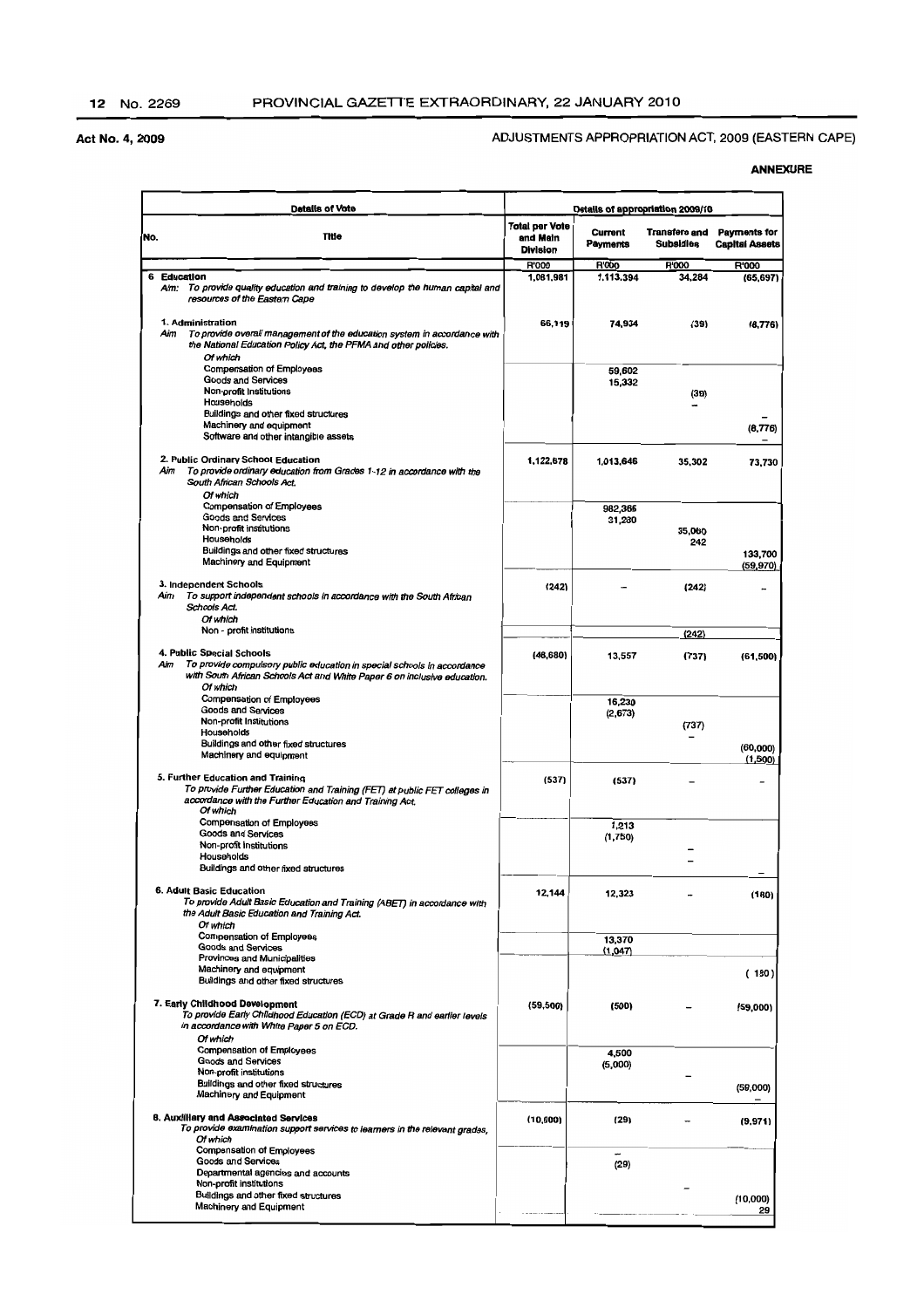#### ADJUSTMENTS APPROPRIATION ACT, 2009 (EASTERN CAPE)

|     | <b>Details of Vote</b>                                                                                                                                                                              |                                                      |                            | Details of appropriation 2009/10  |                                              |
|-----|-----------------------------------------------------------------------------------------------------------------------------------------------------------------------------------------------------|------------------------------------------------------|----------------------------|-----------------------------------|----------------------------------------------|
| No. | <b>Title</b>                                                                                                                                                                                        | <b>Total per Vote</b><br>and Main<br><b>Division</b> | Current<br><b>Payments</b> | Transfers and<br><b>Subsidies</b> | <b>Payments for</b><br><b>Capital Assets</b> |
|     |                                                                                                                                                                                                     | <b>R'000</b>                                         | <b>R'000</b>               | <b>R'000</b>                      | R'000                                        |
|     | 6 Education<br>Aim: To provide quality education and training to develop the human capital and<br>resources of the Eastern Cape                                                                     | 1,081,981                                            | 1.113.394                  | 34,284                            | (65, 697)                                    |
|     | 1. Administration<br>To provide overall management of the education system in accordance with<br>Aim<br>the National Education Policy Act, the PFMA and other policies.<br>Of which                 | 66,119                                               | 74.934                     | (39)                              | (8.776)                                      |
|     | Compensation of Employees<br><b>Goods and Services</b><br>Non-profit Institutions                                                                                                                   |                                                      | 59,602<br>15,332           | (39)                              |                                              |
|     | Households                                                                                                                                                                                          |                                                      |                            |                                   |                                              |
|     | Buildings and other fixed structures<br>Machinery and equipment<br>Software and other intangible assets                                                                                             |                                                      |                            |                                   | (8, 776)                                     |
|     | 2. Public Ordinary School Education<br>To provide ordinary education from Grades 1-12 in accordance with the<br>Aim<br>South African Schools Act.<br>Of which                                       | 1.122.678                                            | 1.013,646                  | 35,302                            | 73,730                                       |
|     | <b>Compensation of Employees</b><br>Goods and Services                                                                                                                                              |                                                      | 982,366<br>31,280          |                                   |                                              |
|     | Non-profit institutions<br>Households<br>Buildings and other fixed structures<br>Machinery and Equipment                                                                                            |                                                      |                            | 35,060<br>242                     | 133,700                                      |
|     |                                                                                                                                                                                                     |                                                      |                            |                                   | (59, 970)                                    |
|     | 3. Independent Schools<br>To support independent schools in accordance with the South African<br>Aim<br>Schools Act.                                                                                | (242)                                                |                            | (242)                             |                                              |
|     | Of which<br>Non - profit institutions                                                                                                                                                               |                                                      |                            | (242)                             |                                              |
|     |                                                                                                                                                                                                     |                                                      |                            |                                   |                                              |
|     | 4. Public Special Schools<br>Aim<br>To provide compulsory public education in special schools in accordance<br>with South African Schools Act and White Paper 6 on inclusive education.<br>Of which | (48, 680)                                            | 13,557                     | (737)                             | (61, 500)                                    |
|     | Compensation of Employees                                                                                                                                                                           |                                                      | 16,230                     |                                   |                                              |
|     | Goods and Services<br>Non-profit Institutions                                                                                                                                                       |                                                      | (2,673)                    | (737)                             |                                              |
|     | Households                                                                                                                                                                                          |                                                      |                            |                                   |                                              |
|     | Buildings and other fixed structures<br>Machinery and equipment                                                                                                                                     |                                                      |                            |                                   | (60,000)<br>(1,500)                          |
|     | 5. Further Education and Training                                                                                                                                                                   |                                                      |                            |                                   |                                              |
|     | To provide Further Education and Training (FET) at public FET colleges in<br>accordance with the Further Education and Training Act.<br>Of which                                                    | (537)                                                | (537)                      |                                   |                                              |
|     | <b>Compensation of Employees</b>                                                                                                                                                                    |                                                      | 1,213                      |                                   |                                              |
|     | Goods and Services<br>Non-profit Institutions                                                                                                                                                       |                                                      | (1,750)                    |                                   |                                              |
|     | Households                                                                                                                                                                                          |                                                      |                            |                                   |                                              |
|     | Buildings and other fixed structures                                                                                                                                                                |                                                      |                            |                                   |                                              |
|     | 6. Adult Basic Education<br>To provide Adult Basic Education and Training (ABET) in accordance with<br>the Adult Basic Education and Training Act.<br>Of which                                      | 12,144                                               | 12,323                     |                                   | (180)                                        |
|     | <b>Compensation of Employees</b><br><b>Goods and Services</b>                                                                                                                                       |                                                      | 13,370                     |                                   |                                              |
|     | Provinces and Municipalities                                                                                                                                                                        |                                                      | (1,047)                    |                                   |                                              |
|     | Machinery and equipment<br>Buildings and other fixed structures                                                                                                                                     |                                                      |                            |                                   | (180)                                        |
|     | 7. Early Childhood Development<br>To provide Early Childhood Education (ECD) at Grade R and earlier levels<br>in accordance with White Paper 5 on ECD.<br>Of which                                  | (59, 500)                                            | (500)                      |                                   | (59,000)                                     |
|     | <b>Compensation of Employees</b>                                                                                                                                                                    |                                                      | 4,500                      |                                   |                                              |
|     | <b>Goods and Services</b><br>Non-profit institutions                                                                                                                                                |                                                      | (5,000)                    |                                   |                                              |
|     | Buildings and other fixed structures<br>Machinery and Equipment                                                                                                                                     |                                                      |                            |                                   | (59,000)                                     |
|     | <b>8. Auxilliary and Associated Services</b><br>To provide examination support services to learners in the relevant grades,<br>Of which                                                             | (10,000)                                             | (29)                       |                                   | (9,971)                                      |
|     | Compensation of Employees<br>Goods and Services<br>Departmental agencies and accounts                                                                                                               |                                                      | (29)                       |                                   |                                              |
|     | Non-profit institutions                                                                                                                                                                             |                                                      |                            |                                   |                                              |
|     | Buildings and other fixed structures<br>Machinery and Equipment                                                                                                                                     |                                                      |                            |                                   | (10,000)<br>29                               |
|     |                                                                                                                                                                                                     |                                                      |                            |                                   |                                              |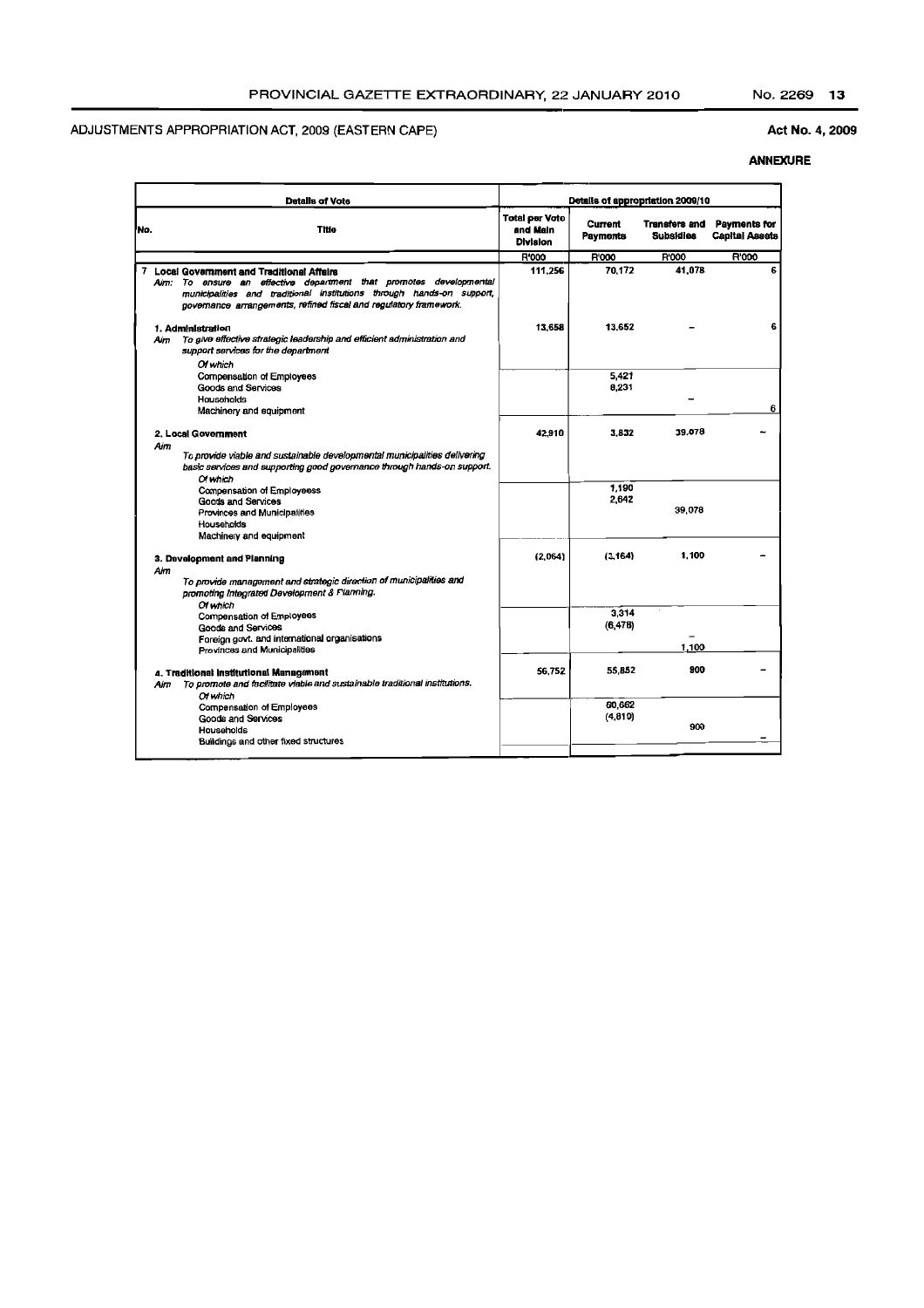#### Act No.4, 2009

|     | <b>Datalls of Vote</b>                                                                                                                                                                                                                                         | Details of appropriation 2009/10                     |                            |                                   |                                       |
|-----|----------------------------------------------------------------------------------------------------------------------------------------------------------------------------------------------------------------------------------------------------------------|------------------------------------------------------|----------------------------|-----------------------------------|---------------------------------------|
| No. | <b>Title</b>                                                                                                                                                                                                                                                   | <b>Total per Voto</b><br>and Main<br><b>Division</b> | <b>Current</b><br>Payments | <b>Transfers and</b><br>Subsidies | Payments for<br><b>Capital Assets</b> |
|     |                                                                                                                                                                                                                                                                | <b>R'000</b>                                         | R'000                      | <b>R'000</b>                      | <b>R'000</b>                          |
|     | 7 Local Government and Traditional Affairs<br>Aim: To ensure an effective department that promotes developmental<br>municipalities and traditional institutions through hands-on support,<br>governance arrangements, refined fiscal and regulatory framework. | 111.256                                              | 70.172                     | 41,078                            | 6                                     |
| Aim | 1. Administration<br>To give effective strategic leadership and efficient administration and<br>support services for the department<br>Of which                                                                                                                | 13,658                                               | 13,652                     |                                   | 6                                     |
|     | Compensation of Employees<br><b>Goods and Services</b><br>Hausehalds<br>Machinery and equipment                                                                                                                                                                |                                                      | 5,421<br>8,231             |                                   | 6                                     |
| Aim | 2. Local Government<br>To provide viable and sustainable developmental municipalities delivering<br>basic services and supporting good governance through hands-on support.                                                                                    | 42.910                                               | 3.832                      | 39.078                            |                                       |
|     | Of which<br>Compensation of Employeess<br>Goods and Services<br>Provinces and Municipalities<br>Households<br>Machinery and equipment                                                                                                                          |                                                      | 1,190<br>2.642             | 39,078                            |                                       |
| Aim | 3. Development and Planning<br>To provide management and strategic direction of municipalities and<br>promoting Integrated Development & Planning.                                                                                                             | (2,064)                                              | (3, 164)                   | 1.100                             |                                       |
|     | Of which<br><b>Compensation of Employees</b><br><b>Goods and Services</b><br>Foreign govt. and international organisations                                                                                                                                     |                                                      | 3,314<br>(6, 476)          | 1.100                             |                                       |
| Aim | Provinces and Municipalities<br>4. Traditional Institutional Management<br>To promote and facilitate viable and sustainable traditional institutions.                                                                                                          | 56.752                                               | 55,852                     | 900                               |                                       |
|     | Of which<br>Compensation of Employees<br><b>Goods and Services</b><br>Households<br>Buildings and other fixed structures                                                                                                                                       |                                                      | 60,662<br>(4,810)          | 900                               |                                       |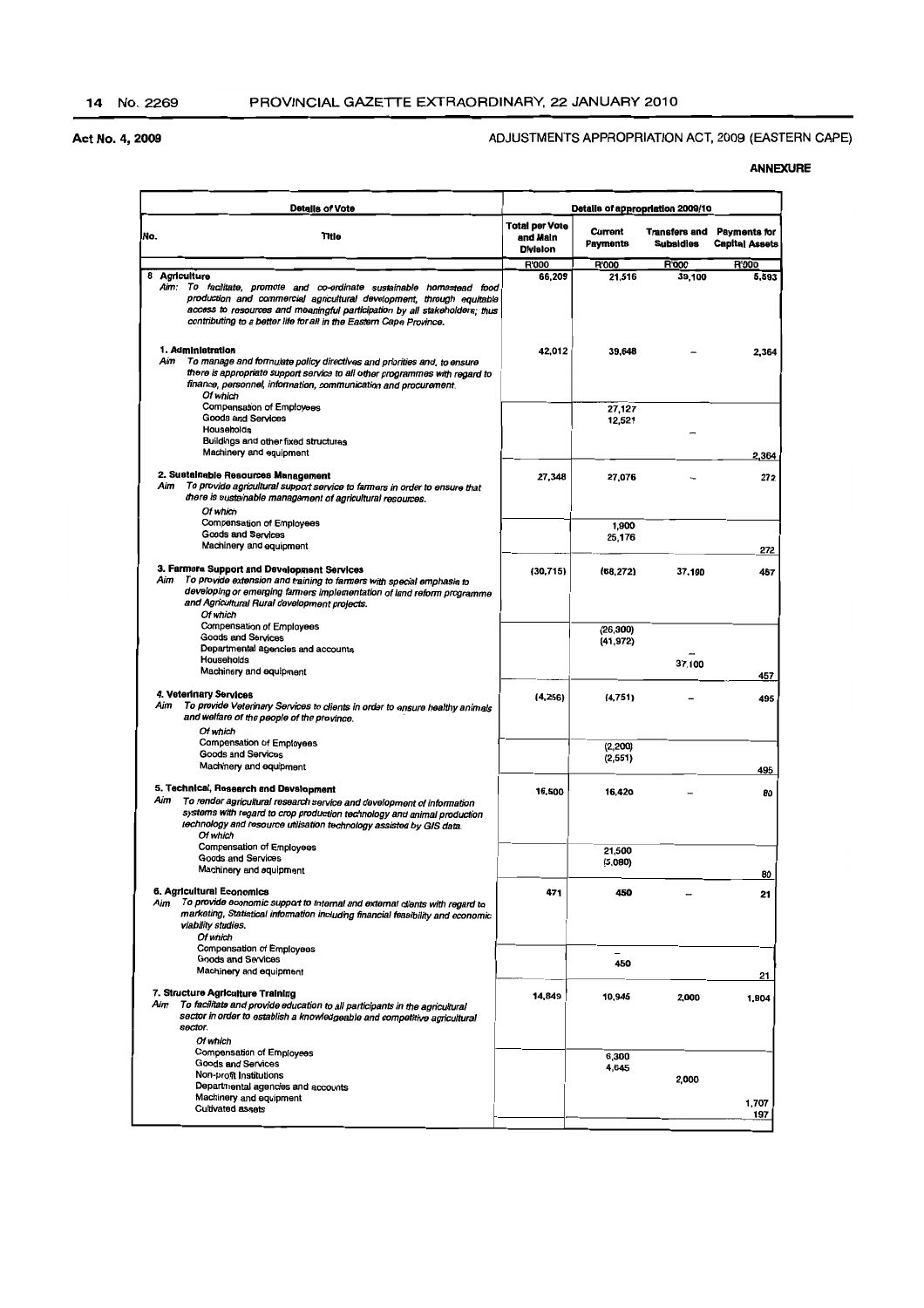#### ADJUSTMENTS APPROPRIATION ACT, 2009 (EASTERN CAPE)

| <b>Details of Vote</b>                                                                                                                                                                                                                                                                                                | Details of appropriation 2009/10                     |                            |                                   |                                              |
|-----------------------------------------------------------------------------------------------------------------------------------------------------------------------------------------------------------------------------------------------------------------------------------------------------------------------|------------------------------------------------------|----------------------------|-----------------------------------|----------------------------------------------|
| No.<br>Title                                                                                                                                                                                                                                                                                                          | <b>Total per Vote</b><br>and Main<br><b>Division</b> | Current<br><b>Payments</b> | Transfers and<br><b>Subsidies</b> | <b>Payments for</b><br><b>Capital Assets</b> |
|                                                                                                                                                                                                                                                                                                                       | <b>R'000</b>                                         | R'000                      | <b>R'000</b>                      | <b>R'000</b>                                 |
| 8 Agriculture<br>Aim: To facilitate, promote and co-ordinate sustainable homestead food<br>production and commercial agricultural development, through equitable<br>access to resources and meaningful participation by all stakeholders; thus<br>contributing to a better life for all in the Eastern Cape Province. | 66.209                                               | 21,516                     | 39.100                            | 5,593                                        |
| 1. Administration<br>To manage and formulate policy directives and priorities and, to ensure<br>Aim<br>there is appropriate support service to all other programmes with regard to<br>finance, personnel, information, communication and procurement.<br>Of which                                                     | 42,012                                               | 39,648                     |                                   | 2.364                                        |
| Compensation of Employees<br>Goods and Services<br>Households                                                                                                                                                                                                                                                         |                                                      | 27,127<br>12,521           |                                   |                                              |
| Buildings and other fixed structures<br>Machinery and equipment                                                                                                                                                                                                                                                       |                                                      |                            |                                   | 2,364                                        |
| 2. Sustainable Resources Management<br>To provide agricultural support service to farmers in order to ensure that<br>Aim<br>there is sustainable management of agricultural resources.<br>Of which                                                                                                                    | 27,348                                               | 27,076                     |                                   | 272                                          |
| <b>Compensation of Employees</b><br>Goods and Services<br>Machinery and equipment                                                                                                                                                                                                                                     |                                                      | 1,900<br>25,176            |                                   | 272                                          |
| 3. Farmers Support and Development Services<br>Aim<br>To provide extension and training to farmers with special emphasis to<br>developing or emerging farmers implementation of land reform programme<br>and Agricultural Rural development projects.<br>Of which                                                     | (30, 715)                                            | (68, 272)                  | 37,100                            | 457                                          |
| Compensation of Employees<br><b>Goods and Services</b><br>Departmental agencies and accounts                                                                                                                                                                                                                          |                                                      | (26, 300)<br>(41, 972)     |                                   |                                              |
| Households<br>Machinery and equipment                                                                                                                                                                                                                                                                                 |                                                      |                            | 37,100                            | 457                                          |
| 4. Veterinary Services<br>Aim<br>To provide Veterinary Services to clients in order to ensure healthy animals<br>and welfare of the people of the province.<br>Of which                                                                                                                                               | (4, 256)                                             | (4,751)                    |                                   | 495                                          |
| Compensation of Employees<br>Goods and Services<br>Machinery and equipment                                                                                                                                                                                                                                            |                                                      | (2, 200)<br>(2,551)        |                                   | 495                                          |
| 5. Technical, Research and Dsvslopment<br>Aim<br>To render agricultural research service and development of information<br>systems with regard to crop production technology and animal production<br>technology and resource utilisation technology assisted by GIS data.<br>Of which                                | 16,500                                               | 16,420                     |                                   | 80                                           |
| Compensation of Employees<br>Goods and Services<br>Machinery and equipment                                                                                                                                                                                                                                            |                                                      | 21,500<br>(5,080)          |                                   | 80                                           |
| 6. Agricultural Economics<br>To provide economic support to internal and external clients with regard to<br>Aim<br>marketing, Statistical information including financial feasibility and economic<br>viability studies.<br>Of which                                                                                  | 471                                                  | 450                        |                                   | 21                                           |
| Compensation of Employees<br>Goods and Services<br>Machinery and equipment                                                                                                                                                                                                                                            |                                                      | 450                        |                                   | 21                                           |
| 7. Structure Agriculture Training<br>Aim<br>To facilitate and provide education to all participants in the agricultural<br>sector in order to establish a knowledgeable and competitive agricultural<br>sector.                                                                                                       | 14,849                                               | 10,945                     | 2,000                             | 1,904                                        |
| Of which<br>Compensation of Employees<br><b>Goods and Services</b><br>Non-profit Institutions                                                                                                                                                                                                                         |                                                      | 6,300<br>4,645             | 2,000                             |                                              |
| Departmental agencies and accounts<br>Machinery and equipment<br><b>Cultivated assets</b>                                                                                                                                                                                                                             |                                                      |                            |                                   | 1,707<br>197                                 |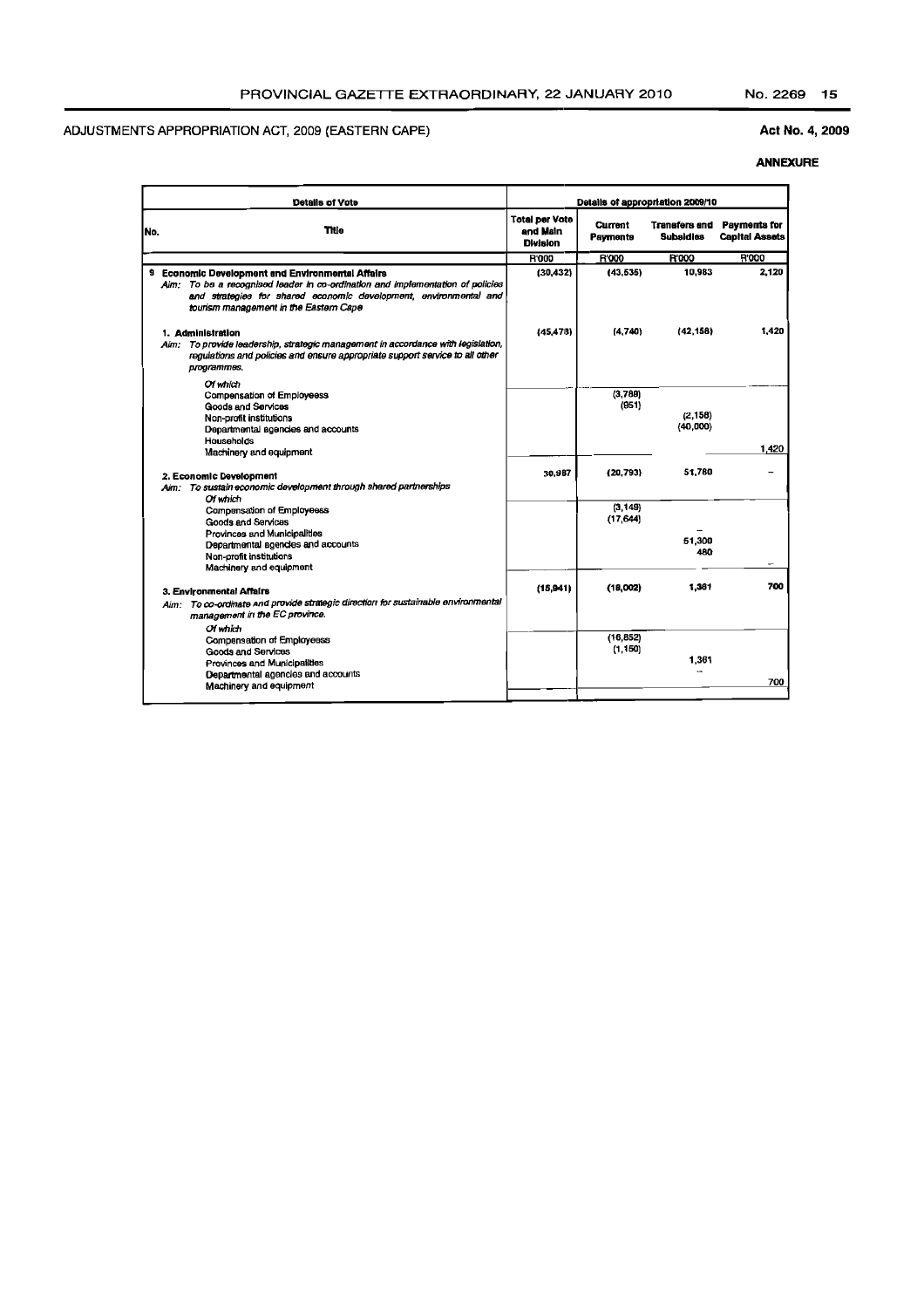#### Act No.4, 2009

| Details of appropriation 2009/10<br><b>Details of Vote</b> |                                                                                                                                                                                                                                                   |                                                      |                       |                                          |                                              |
|------------------------------------------------------------|---------------------------------------------------------------------------------------------------------------------------------------------------------------------------------------------------------------------------------------------------|------------------------------------------------------|-----------------------|------------------------------------------|----------------------------------------------|
| No.                                                        | Title                                                                                                                                                                                                                                             | <b>Total per Vote</b><br>and Main<br><b>Division</b> | Current<br>Payments   | <b>Transfers and</b><br><b>Subaldies</b> | <b>Payments for</b><br><b>Capital Assets</b> |
|                                                            |                                                                                                                                                                                                                                                   | <b>R'000</b>                                         | <b>R'000</b>          | <b>R'000</b>                             | <b>R'000</b>                                 |
|                                                            | 9 Economic Development and Environmental Affairs<br>Aim: To be a recognised leader in co-ordination and implementation of policies<br>and strategies for shared economic development, environmental and<br>tourism management in the Eastern Cape | (30, 432)                                            | (43.535)              | 10,983                                   | 2,120                                        |
|                                                            | 1. Administration<br>Aim: To provide leadership, strategic management in accordance with legislation,<br>regulations and policies and ensure appropriate support service to all other<br>programmes.                                              | (45.478)                                             | (4,740)               | (42, 158)                                | 1,420                                        |
|                                                            | Of which<br>Compensation of Employeess<br>Goods and Services<br>Non-profit institutions<br>Departmental agencies and accounts<br><b>Households</b>                                                                                                |                                                      | (3,789)<br>(951)      | (2, 158)<br>(40,000)                     |                                              |
|                                                            | Machinery and equipment                                                                                                                                                                                                                           |                                                      |                       |                                          | 1.420                                        |
|                                                            | 2. Economic Development<br>Aim: To sustain economic development through shared partnerships<br>Of which                                                                                                                                           | 30,987                                               | (20.793)              | 51,780                                   |                                              |
|                                                            | Compensation of Employeess<br><b>Goods and Services</b><br>Provinces and Municipalities                                                                                                                                                           |                                                      | (3, 149)<br>(17, 644) |                                          |                                              |
|                                                            | Departmental agencies and accounts<br>Non-profit institutions<br>Machinery and equipment                                                                                                                                                          |                                                      |                       | 51,300<br>480                            |                                              |
|                                                            | 3. Environmental Affairs                                                                                                                                                                                                                          | (15, 941)                                            | (18,002)              | 1,361                                    | 700                                          |
|                                                            | Aim: To co-ordinate and provide strategic direction for sustainable environmental<br>management in the EC province.<br>Of which                                                                                                                   |                                                      |                       |                                          |                                              |
|                                                            | Compensation of Employeess<br><b>Goods and Services</b><br>Provinces and Municipalities<br>Departmental agencies and accounts                                                                                                                     |                                                      | (16, 852)<br>(1, 150) | 1,361                                    |                                              |
|                                                            | Machinery and equipment                                                                                                                                                                                                                           |                                                      |                       |                                          | 700                                          |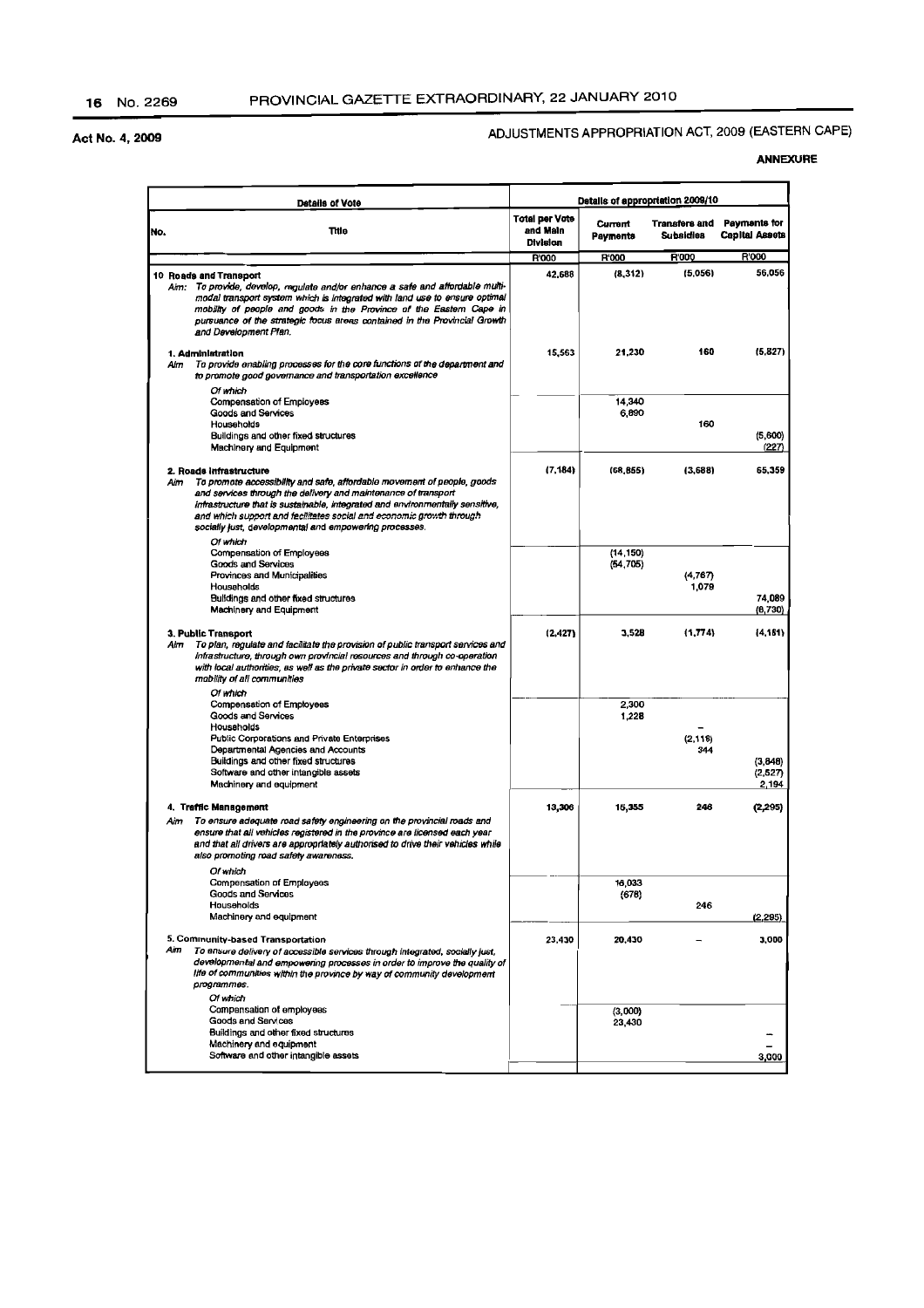## ADJUSTMENTS APPROPRIATION ACT, 2009 (EASTERN CAPE)

|     | Datails of Vote                                                                                                                                                                                                                                                                                                                                                                                |                                               |                        | Details of appropriation 2009/10 |                                       |
|-----|------------------------------------------------------------------------------------------------------------------------------------------------------------------------------------------------------------------------------------------------------------------------------------------------------------------------------------------------------------------------------------------------|-----------------------------------------------|------------------------|----------------------------------|---------------------------------------|
| No. | Title                                                                                                                                                                                                                                                                                                                                                                                          | <b>Total per Vote</b><br>and Main<br>Division | Current<br>Payments    | Transfers and<br>Subsidies       | Payments for<br><b>Capital Assets</b> |
|     |                                                                                                                                                                                                                                                                                                                                                                                                | <b>R'000</b>                                  | R'000                  | R'000                            | R'000                                 |
|     | 10 Roads and Transport<br>Aim: To provide, develop, regulate and/or enhance a safe and affordable multi-<br>modal transport system which is integrated with land use to ensure optimal<br>mobility of people and goods in the Province of the Eastern Cape in<br>pursuance of the strategic focus areas contained in the Provincial Growth<br>and Development Plan.                            | 42,688                                        | (8,312)                | (5,056)                          | 56,056                                |
|     | 1. Administration<br>To provide enabling processes for the core functions of the department and<br>Aim<br>to promote good governance and transportation excellence<br>Of which                                                                                                                                                                                                                 | 15,563                                        | 21,230                 | 160                              | (5.827)                               |
|     | Compensation of Employees<br>Goods and Services<br>Households<br>Buildings and other fixed structures<br>Machinery and Equipment                                                                                                                                                                                                                                                               |                                               | 14,340<br>6,890        | 160                              | (5, 600)<br>(227)                     |
|     | 2. Roads infrastructure<br>To promote accessibility and safe, affordable movement of people, goods<br>Aim<br>and services through the delivery and maintenance of transport<br>infrastructure that is sustainable, integrated and environmentally sensitive,<br>and which support and facilitates social and economic growth through<br>socially just, developmental and empowering processes. | (7, 184)                                      | (68, 855)              | (3,688)                          | 65,359                                |
|     | Of which<br>Compensation of Employees<br><b>Goods and Services</b><br>Provinces and Municipalities<br>Households<br>Buildings and other fixed structures<br>Machinery and Equipment                                                                                                                                                                                                            |                                               | (14, 150)<br>(54, 705) | (4,767)<br>1,079                 | 74,089<br>(6,730)                     |
|     | 3. Public Transport<br>To plan, regulate and facilitate the provision of public transport services and<br>Aim<br>infrastructure, through own provincial resources and through co-operation<br>with local authorities, as well as the private sector in order to enhance the<br>mobility of all communities                                                                                     | (2,427)                                       | 3,528                  | (1, 774)                         | (4, 181)                              |
|     | Of which<br><b>Compensation of Employees</b><br>Goods and Services<br>Households<br>Public Corporations and Private Enterprises<br>Departmental Agencies and Accounts<br>Buildings and other fixed structures<br>Software and other intangible assets<br>Machinery and equipment                                                                                                               |                                               | 2,300<br>1,228         | (2, 118)<br>344                  | (3,848)<br>(2,527)<br>2.194           |
|     | 4. Traffic Management<br>To ensure adequate road safety engineering on the provincial roads and<br>Aim<br>ensure that all vehicles registered in the province are licensed each year<br>and that all drivers are appropriately authorised to drive their vehicles while<br>also promoting road safety awareness.                                                                               | 13,306                                        | 15,355                 | 246                              | (2, 295)                              |
|     | Of which<br>Compensation of Employees<br><b>Goods and Services</b><br>Households<br>Machinery and equipment                                                                                                                                                                                                                                                                                    |                                               | 16,033<br>(678)        | 246                              | (2,295)                               |
|     | 5. Community-based Transportation<br>Aim<br>To ensure delivery of accessible services through integrated, socially just,<br>developmental and empowering processes in order to improve the quality of<br>life of communities within the province by way of community development<br>programmes.<br>Of which                                                                                    | 23,430                                        | 20,430                 |                                  | 3,000                                 |
|     | Compansation of employees<br><b>Goods and Sarvices</b><br>Buildings and other fixed structures<br>Machinery and equipment<br>Software and other intangible assets                                                                                                                                                                                                                              |                                               | (3,000)<br>23,430      |                                  | 3,000                                 |
|     |                                                                                                                                                                                                                                                                                                                                                                                                |                                               |                        |                                  |                                       |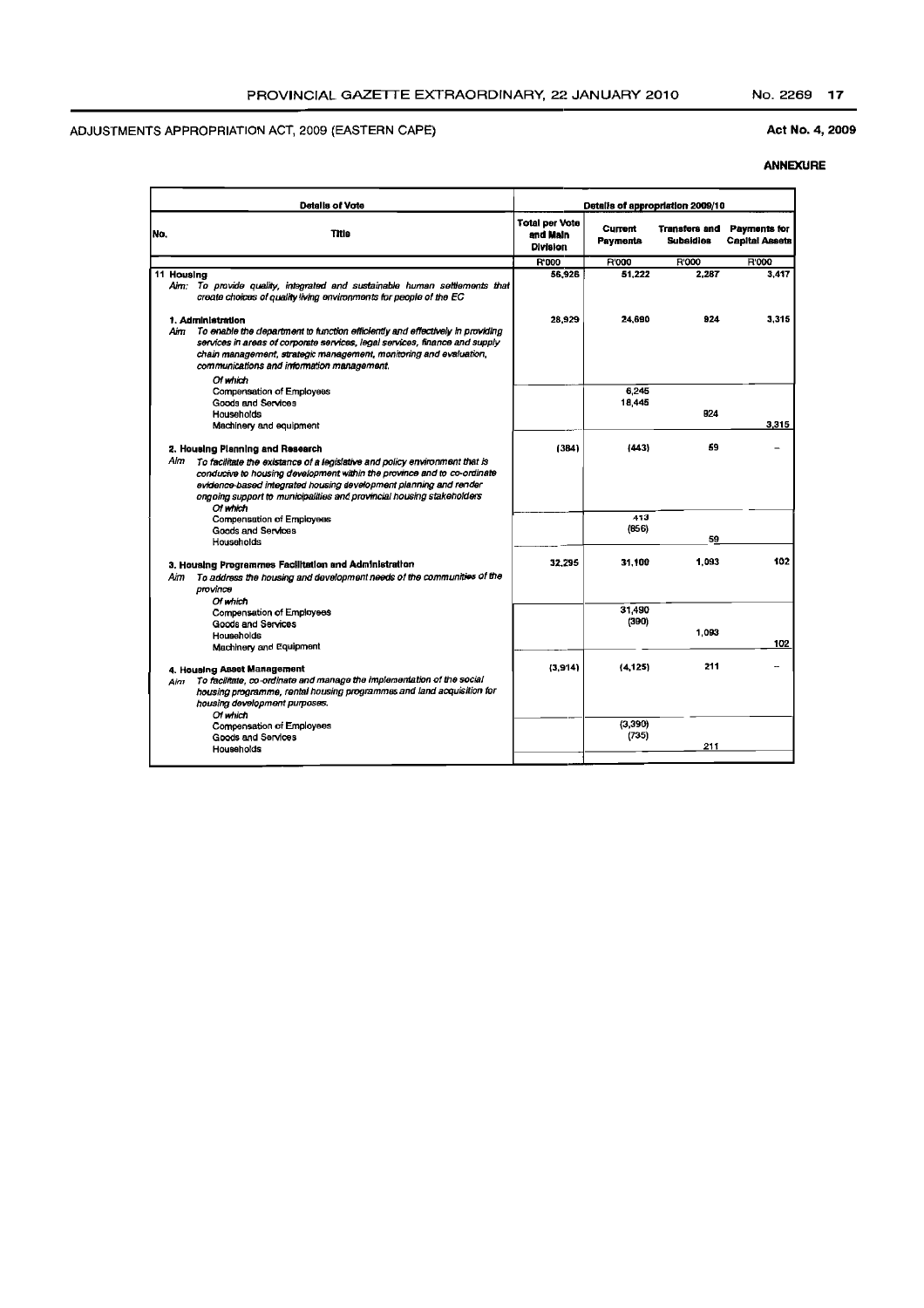### Act No. 4, 2009

| <b>Detalis of Vote</b> |                                                                                                                                                                                                                                                                                                                                          | Details of appropriation 2009/10                     |                                   |                                          |                                       |
|------------------------|------------------------------------------------------------------------------------------------------------------------------------------------------------------------------------------------------------------------------------------------------------------------------------------------------------------------------------------|------------------------------------------------------|-----------------------------------|------------------------------------------|---------------------------------------|
| No.                    | Title                                                                                                                                                                                                                                                                                                                                    | <b>Total per Vote</b><br>and Main<br><b>Division</b> | <b>Current</b><br><b>Payments</b> | <b>Transfers and</b><br><b>Subsidies</b> | Payments for<br><b>Capital Assets</b> |
|                        |                                                                                                                                                                                                                                                                                                                                          | <b>R'000</b>                                         | <b>R'000</b>                      | R'000                                    | R'000                                 |
| 11 Housing             | Aim; To provide quality, integrated and sustainable human settlements that<br>create choices of quality living environments for people of the EC                                                                                                                                                                                         | 56.926                                               | 51.222                            | 2.287                                    | 3,417                                 |
| Aim                    | 1. Administration<br>To enable the department to function efficiently and effectively in providing<br>services in areas of corporate services, legal services, finance and supply<br>chain management, strategic management, monitoring and evaluation,<br>communications and information management.                                    | 28,929                                               | 24,690                            | 924                                      | 3.315                                 |
|                        | Of which<br>Compensation of Employees<br>Goods and Services<br>Households<br>Machinery and equipment                                                                                                                                                                                                                                     |                                                      | 6,245<br>18,445                   | <b>B24</b>                               | 3.315                                 |
| Alm                    | 2. Housing Planning and Research<br>To facilitate the existance of a legislative and policy environment that is<br>conducive to housing development within the province and to co-ordinate<br>evidence-based integrated housing development planning and render<br>ongoing support to municipalities and provincial housing stakeholders | (384)                                                | (443)                             | 59                                       |                                       |
|                        | Of which<br><b>Compensation of Employees</b><br>Goods and Services<br>Households                                                                                                                                                                                                                                                         |                                                      | 413<br>(0.56)                     | 59                                       |                                       |
| Aim                    | 3. Housing Programmes Facilitation and Administration<br>To address the housing and development needs of the communities of the<br>province                                                                                                                                                                                              | 32.295                                               | 31.100                            | 1,093                                    | 102                                   |
|                        | Of which<br>Compensation of Employees<br><b>Goods and Services</b><br>Households<br>Machinery and Equipment                                                                                                                                                                                                                              |                                                      | 31,490<br>(390)                   | 1.093                                    | 102                                   |
| Aim                    | 4. Housing Asset Management<br>To facilitate, co-ordinate and manage the implementation of the social<br>housing programme, rental housing programmes and land acquisition for<br>housing development purposes.                                                                                                                          | (3.914)                                              | (4, 125)                          | 211                                      |                                       |
|                        | Of which<br>Compensation of Employees<br>Goods and Services<br>Households                                                                                                                                                                                                                                                                |                                                      | (3, 390)<br>(735)                 | 211                                      |                                       |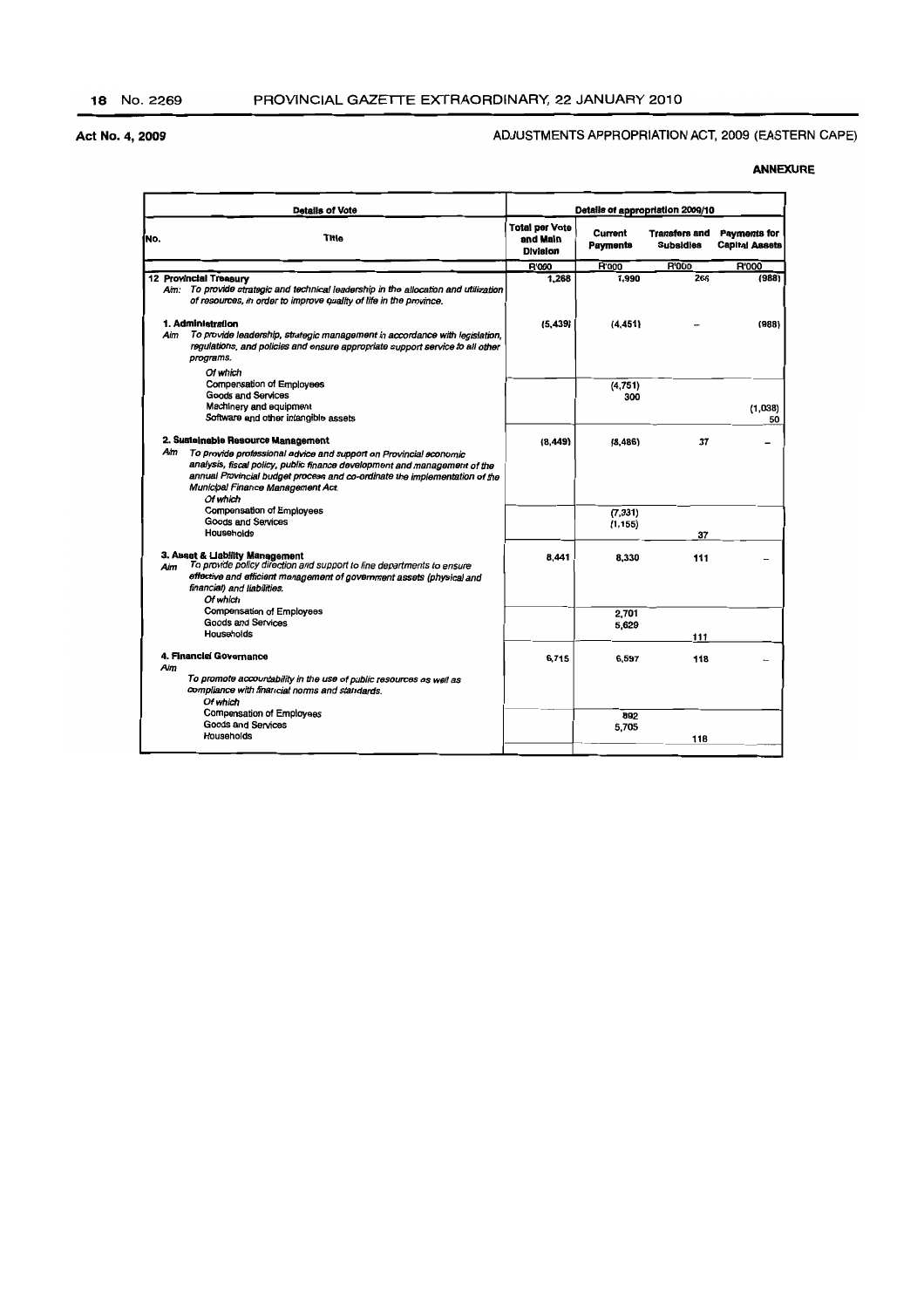#### ADJUSTMENTS APPROPRIATION ACT, 2009 (EASTERN CAPE)

| <b>Details of Vote</b> |                                                                                                                                                                                                                                                                                                                     | Details of appropriation 2009/10                     |                            |                                          |                                              |
|------------------------|---------------------------------------------------------------------------------------------------------------------------------------------------------------------------------------------------------------------------------------------------------------------------------------------------------------------|------------------------------------------------------|----------------------------|------------------------------------------|----------------------------------------------|
| No.                    | Title                                                                                                                                                                                                                                                                                                               | <b>Total per Vote</b><br>and Main<br><b>Division</b> | Current<br><b>Payments</b> | <b>Transfers and</b><br><b>Subsidies</b> | <b>Payments for</b><br><b>Capital Assets</b> |
|                        |                                                                                                                                                                                                                                                                                                                     | R'000                                                | <b>R'000</b>               | <b>R'000</b>                             | <b>R'000</b>                                 |
|                        | 12 Provincial Treasury<br>Aim: To provide strategic and technical leadership in the allocation and utilization<br>of resources, in order to improve quality of life in the province,                                                                                                                                | 1.268                                                | 1,990                      | 266                                      | (988)                                        |
| Aim                    | 1. Administration<br>To provide leadership, strategic management in accordance with legislation,<br>regulations, and policies and ensure appropriate support service to all other<br>programs.                                                                                                                      | (5, 439)                                             | (4.451)                    |                                          | (988)                                        |
|                        | Of which<br>Compensation of Employees<br><b>Goods and Services</b><br>Machinery and equipment<br>Software and other intangible assets                                                                                                                                                                               |                                                      | (4, 751)<br>300            |                                          | (1,038)<br>50                                |
| Aim                    | 2. Sustainable Resource Management<br>To provide professional advice and support on Provincial economic<br>analysis, fiscal policy, public finance development and management of the<br>annual Provincial budget process and co-ordinate the implementation of the<br>Municipal Finance Management Act.<br>Of which | (8, 449)                                             | (8,486)                    | 37                                       |                                              |
|                        | Compensation of Employees<br><b>Goods and Services</b><br>Households                                                                                                                                                                                                                                                |                                                      | (7, 331)<br>(1, 155)       | 37                                       |                                              |
| Aim                    | 3. Asset & Liability Management<br>To provide policy direction and support to line departments to ensure<br>effective and efficient management of government assets (physical and<br>financial) and liabilities.<br>Of which                                                                                        | 8,441                                                | 8.330                      | 111                                      |                                              |
|                        | <b>Compensation of Employees</b><br>Goods and Services<br>Households                                                                                                                                                                                                                                                |                                                      | 2.701<br>5,629             | 111                                      |                                              |
| Aim                    | 4. Financial Governance<br>To promote accountability in the use of public resources as well as<br>compliance with financial norms and standards.<br>Of which                                                                                                                                                        | 6,715                                                | 6,597                      | 118                                      |                                              |
|                        | <b>Compensation of Employees</b><br>Goods and Services<br>Households                                                                                                                                                                                                                                                |                                                      | 892<br>5,705               | 118                                      |                                              |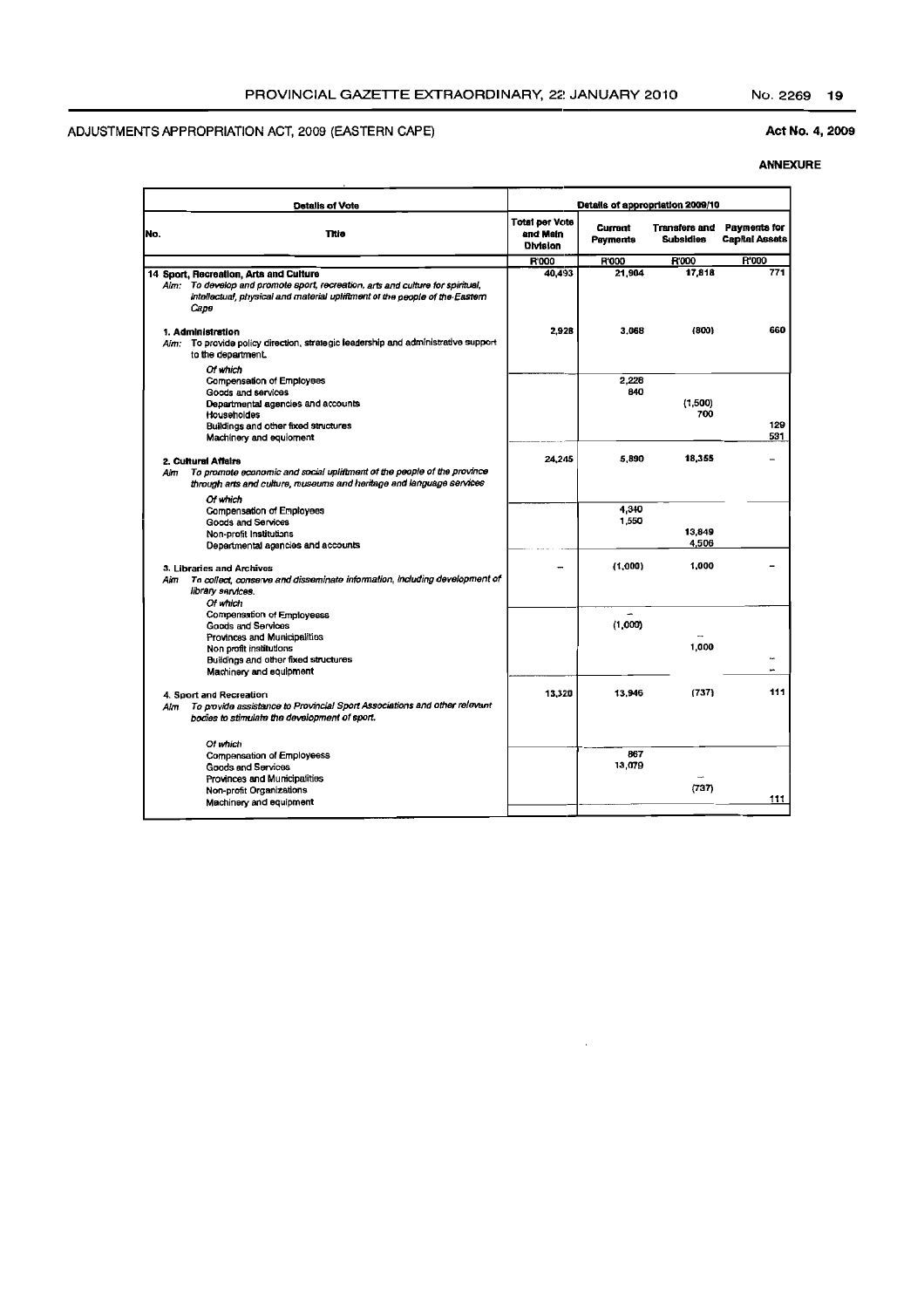#### Act No. 4, 2009

|     | <b>Detalls of Vote</b>                                                                                                                                                                                          | Details of appropriation 2009/10              |                            |                                          |                                              |  |
|-----|-----------------------------------------------------------------------------------------------------------------------------------------------------------------------------------------------------------------|-----------------------------------------------|----------------------------|------------------------------------------|----------------------------------------------|--|
| No. | Title                                                                                                                                                                                                           | <b>Total per Vote</b><br>and Main<br>Division | Current<br><b>Payments</b> | <b>Transfers and</b><br><b>Subsidies</b> | <b>Payments for</b><br><b>Capital Assets</b> |  |
|     |                                                                                                                                                                                                                 | R'000                                         | R'000                      | <b>R'000</b>                             | <b>R'000</b>                                 |  |
|     | 14 Sport, Recreation, Arts and Culture<br>Aim: To develop and promote sport, recreation, arts and culture for spiritual,<br>intellectual, physical and material upliftment of the people of the Eastern<br>Саре | 40.493                                        | 21.904                     | 17,818                                   | 771                                          |  |
| Aim | 1. Administration<br>Aim: To provide policy direction, strategic leadership and administrative support<br>to the department.                                                                                    | 2,928                                         | 3.068                      | (800)                                    | 660                                          |  |
|     | Of which<br>Compensation of Employees<br>Goods and services<br>Departmental agencies and accounts<br>Householdes<br>Buildings and other fixed structures<br>Machinery and equioment                             |                                               | 2,228<br>840               | (1,500)<br>700                           | 129<br>531                                   |  |
|     | 2. Cultural Affairs<br>To promote economic and social upliftment of the people of the province<br>through arts and culture, museums and heritage and language services                                          | 24,245                                        | 5,890                      | 18,355                                   |                                              |  |
|     | Of which<br>Compensation of Employees<br>Goods and Services<br>Non-profit Institutions<br>Departmental agencies and accounts                                                                                    |                                               | 4,340<br>1,550             | 13,849<br>4,506                          |                                              |  |
|     | 3. Libraries and Archives<br>To collect, conserve and disseminate information, including development of<br>Aim<br>library services.                                                                             |                                               | (1,000)                    | 1,000                                    |                                              |  |
|     | Of which<br>Compensation of Employeess<br>Goods and Services<br>Provinces and Municipalities<br>Non profit institutions<br>Buildings and other fixed structures<br>Machinery and equipment                      |                                               | (1,000)                    | 1,000                                    | u                                            |  |
| Aim | 4. Sport and Recreation<br>To provide assistance to Provincial Sport Associations and other relevant<br>bodies to stimulate the development of sport.                                                           | 13,320                                        | 13,946                     | (737)                                    | 111                                          |  |
|     | Of which<br>Compensation of Employeess<br>Goods and Services<br>Provinces and Municipalities                                                                                                                    |                                               | 867<br>13,079              |                                          |                                              |  |
|     | Non-profit Organizations<br>Machinery and equipment                                                                                                                                                             |                                               |                            | (737)                                    | 111                                          |  |